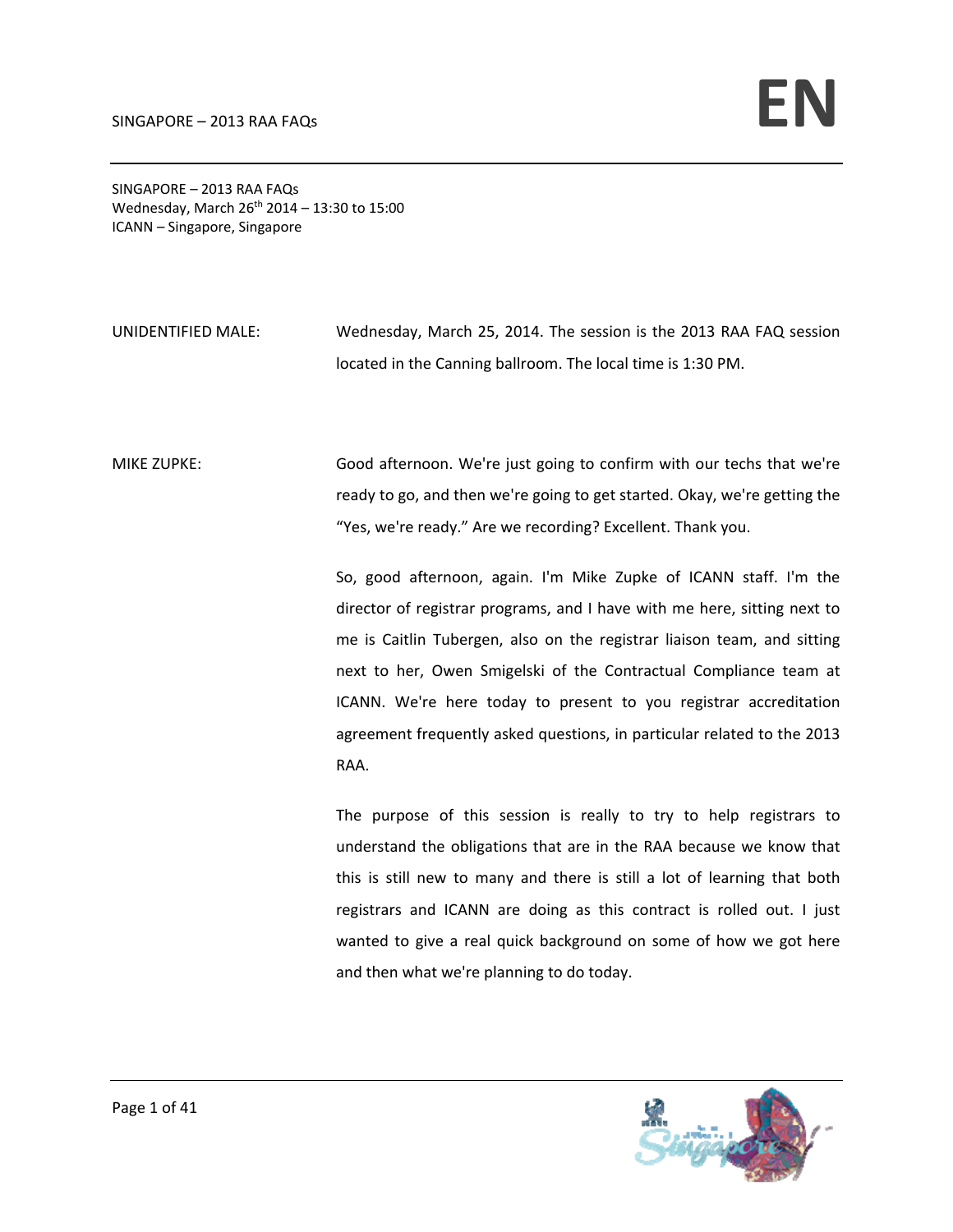SINGAPORE – 2013 RAA FAQs Wednesday, March  $26^{th}$  2014 – 13:30 to 15:00 ICANN – Singapore, Singapore

UNIDENTIFIED MALE: Wednesday, March 25, 2014. The session is the 2013 RAA FAQ session located in the Canning ballroom. The local time is 1:30 PM.

MIKE ZUPKE: Good afternoon. We're just going to confirm with our techs that we're ready to go, and then we're going to get started. Okay, we're getting the "Yes, we're ready." Are we recording? Excellent. Thank you.

> So, good afternoon, again. I'm Mike Zupke of ICANN staff. I'm the director of registrar programs, and I have with me here, sitting next to me is Caitlin Tubergen, also on the registrar liaison team, and sitting next to her, Owen Smigelski of the Contractual Compliance team at ICANN. We're here today to present to you registrar accreditation agreement frequently asked questions, in particular related to the 2013 RAA.

> The purpose of this session is really to try to help registrars to understand the obligations that are in the RAA because we know that this is still new to many and there is still a lot of learning that both registrars and ICANN are doing as this contract is rolled out. I just wanted to give a real quick background on some of how we got here and then what we're planning to do today.

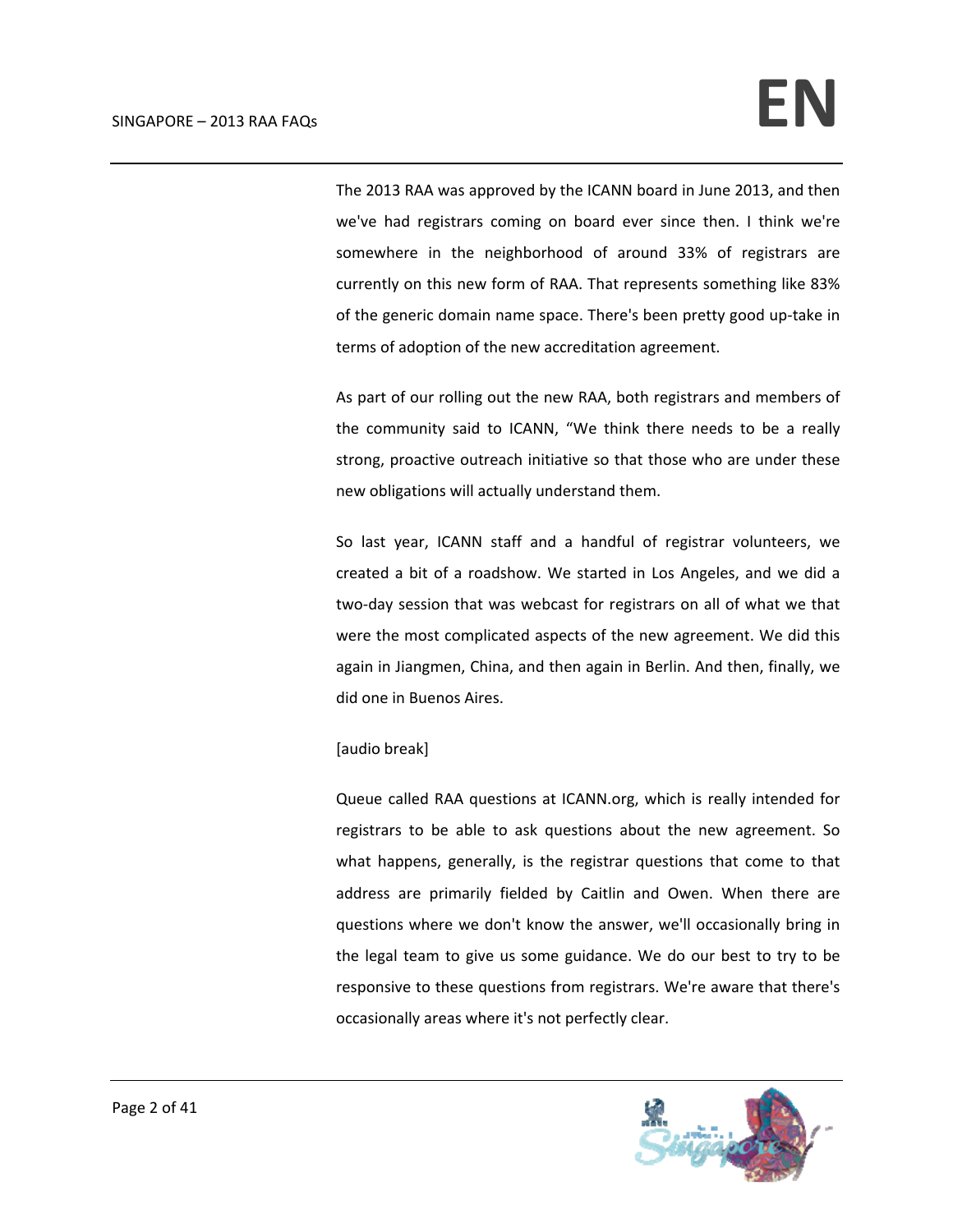The 2013 RAA was approved by the ICANN board in June 2013, and then we've had registrars coming on board ever since then. I think we're somewhere in the neighborhood of around 33% of registrars are currently on this new form of RAA. That represents something like 83% of the generic domain name space. There's been pretty good up‐take in terms of adoption of the new accreditation agreement.

As part of our rolling out the new RAA, both registrars and members of the community said to ICANN, "We think there needs to be a really strong, proactive outreach initiative so that those who are under these new obligations will actually understand them.

So last year, ICANN staff and a handful of registrar volunteers, we created a bit of a roadshow. We started in Los Angeles, and we did a two‐day session that was webcast for registrars on all of what we that were the most complicated aspects of the new agreement. We did this again in Jiangmen, China, and then again in Berlin. And then, finally, we did one in Buenos Aires.

## [audio break]

Queue called RAA questions at ICANN.org, which is really intended for registrars to be able to ask questions about the new agreement. So what happens, generally, is the registrar questions that come to that address are primarily fielded by Caitlin and Owen. When there are questions where we don't know the answer, we'll occasionally bring in the legal team to give us some guidance. We do our best to try to be responsive to these questions from registrars. We're aware that there's occasionally areas where it's not perfectly clear.

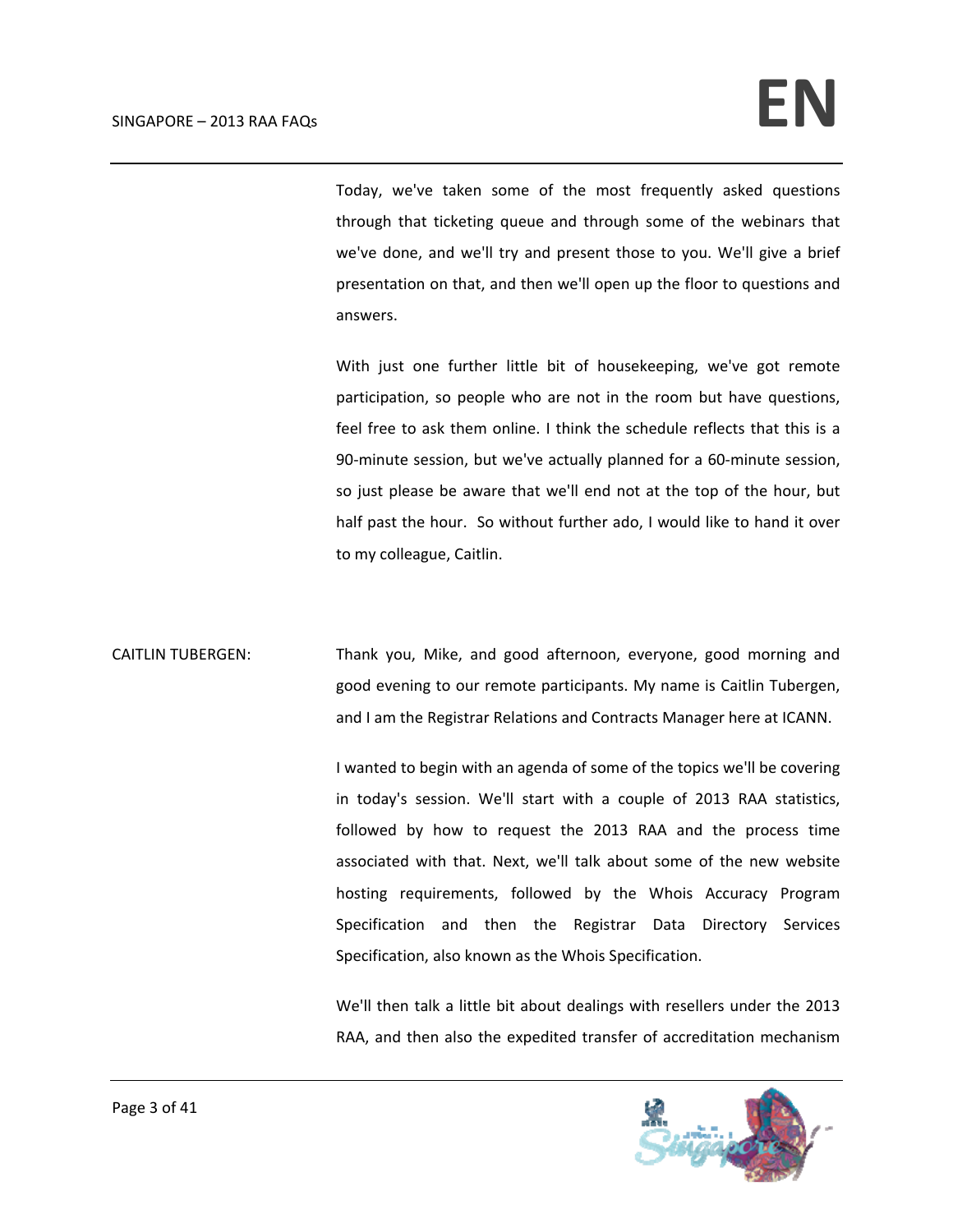Today, we've taken some of the most frequently asked questions through that ticketing queue and through some of the webinars that we've done, and we'll try and present those to you. We'll give a brief presentation on that, and then we'll open up the floor to questions and answers.

With just one further little bit of housekeeping, we've got remote participation, so people who are not in the room but have questions, feel free to ask them online. I think the schedule reflects that this is a 90-minute session, but we've actually planned for a 60-minute session, so just please be aware that we'll end not at the top of the hour, but half past the hour. So without further ado, I would like to hand it over to my colleague, Caitlin.

CAITLIN TUBERGEN: Thank you, Mike, and good afternoon, everyone, good morning and good evening to our remote participants. My name is Caitlin Tubergen, and I am the Registrar Relations and Contracts Manager here at ICANN.

> I wanted to begin with an agenda of some of the topics we'll be covering in today's session. We'll start with a couple of 2013 RAA statistics, followed by how to request the 2013 RAA and the process time associated with that. Next, we'll talk about some of the new website hosting requirements, followed by the Whois Accuracy Program Specification and then the Registrar Data Directory Services Specification, also known as the Whois Specification.

> We'll then talk a little bit about dealings with resellers under the 2013 RAA, and then also the expedited transfer of accreditation mechanism

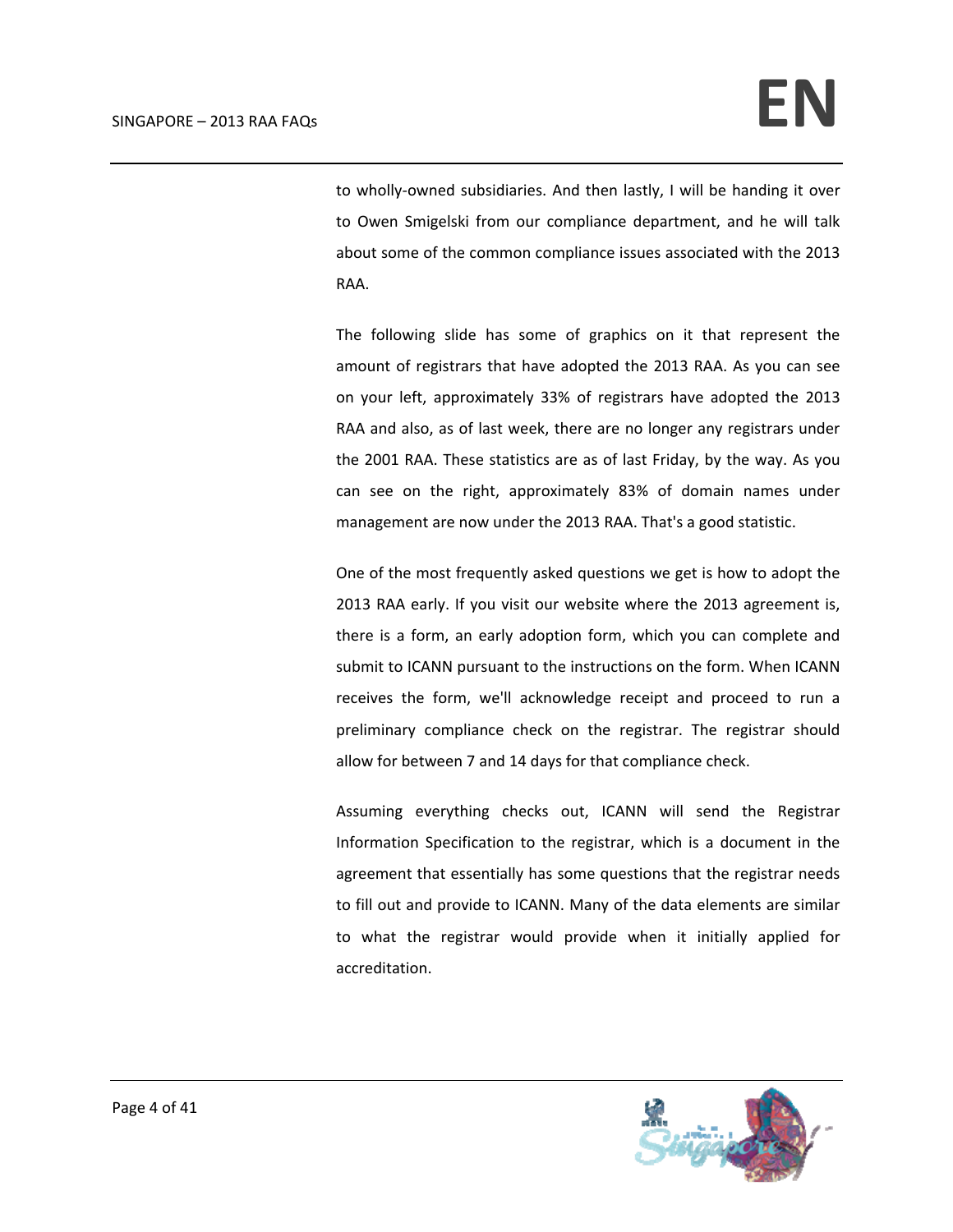to wholly‐owned subsidiaries. And then lastly, I will be handing it over to Owen Smigelski from our compliance department, and he will talk about some of the common compliance issues associated with the 2013 RAA.

The following slide has some of graphics on it that represent the amount of registrars that have adopted the 2013 RAA. As you can see on your left, approximately 33% of registrars have adopted the 2013 RAA and also, as of last week, there are no longer any registrars under the 2001 RAA. These statistics are as of last Friday, by the way. As you can see on the right, approximately 83% of domain names under management are now under the 2013 RAA. That's a good statistic.

One of the most frequently asked questions we get is how to adopt the 2013 RAA early. If you visit our website where the 2013 agreement is, there is a form, an early adoption form, which you can complete and submit to ICANN pursuant to the instructions on the form. When ICANN receives the form, we'll acknowledge receipt and proceed to run a preliminary compliance check on the registrar. The registrar should allow for between 7 and 14 days for that compliance check.

Assuming everything checks out, ICANN will send the Registrar Information Specification to the registrar, which is a document in the agreement that essentially has some questions that the registrar needs to fill out and provide to ICANN. Many of the data elements are similar to what the registrar would provide when it initially applied for accreditation.

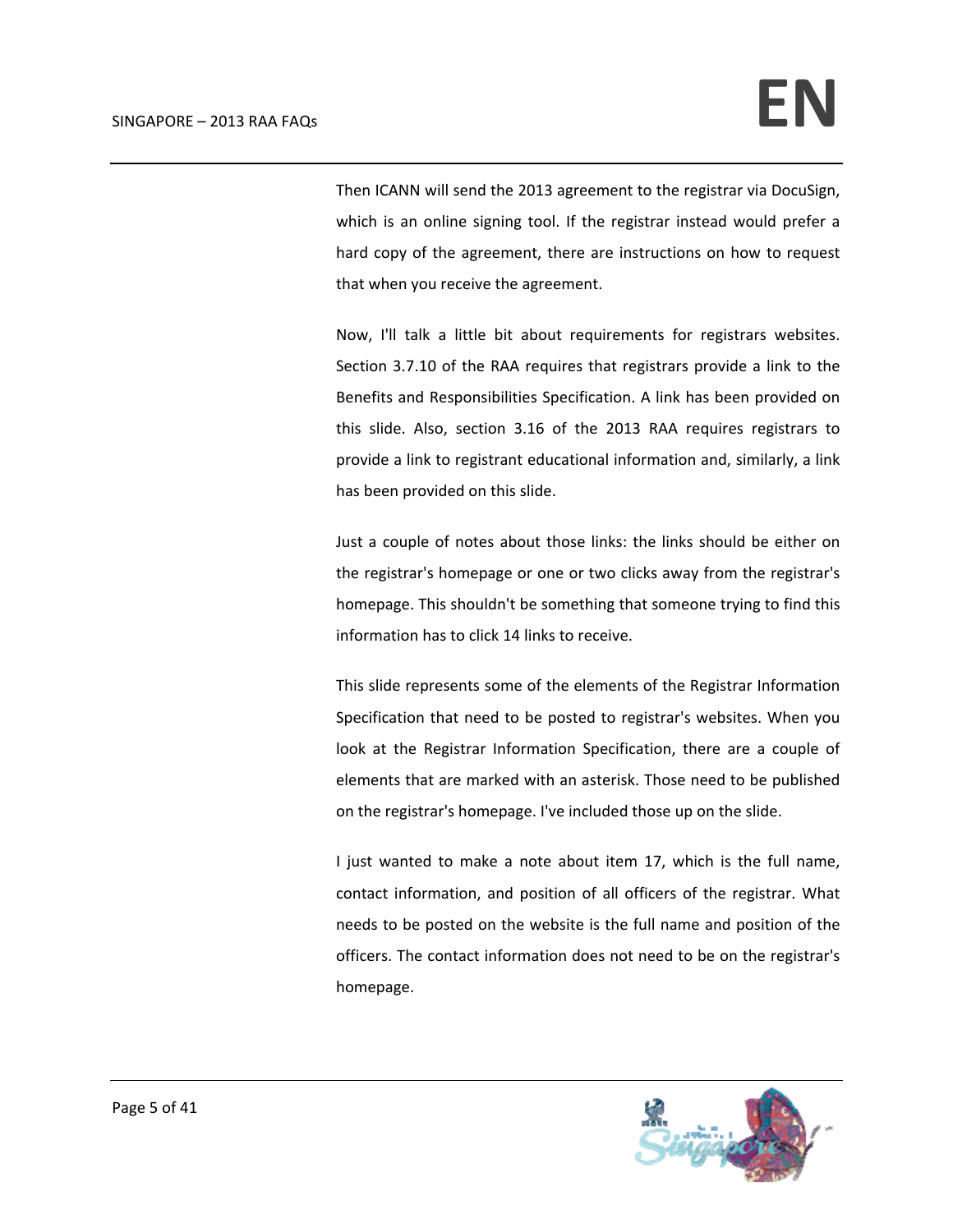Then ICANN will send the 2013 agreement to the registrar via DocuSign, which is an online signing tool. If the registrar instead would prefer a hard copy of the agreement, there are instructions on how to request that when you receive the agreement.

Now, I'll talk a little bit about requirements for registrars websites. Section 3.7.10 of the RAA requires that registrars provide a link to the Benefits and Responsibilities Specification. A link has been provided on this slide. Also, section 3.16 of the 2013 RAA requires registrars to provide a link to registrant educational information and, similarly, a link has been provided on this slide.

Just a couple of notes about those links: the links should be either on the registrar's homepage or one or two clicks away from the registrar's homepage. This shouldn't be something that someone trying to find this information has to click 14 links to receive.

This slide represents some of the elements of the Registrar Information Specification that need to be posted to registrar's websites. When you look at the Registrar Information Specification, there are a couple of elements that are marked with an asterisk. Those need to be published on the registrar's homepage. I've included those up on the slide.

I just wanted to make a note about item 17, which is the full name, contact information, and position of all officers of the registrar. What needs to be posted on the website is the full name and position of the officers. The contact information does not need to be on the registrar's homepage.

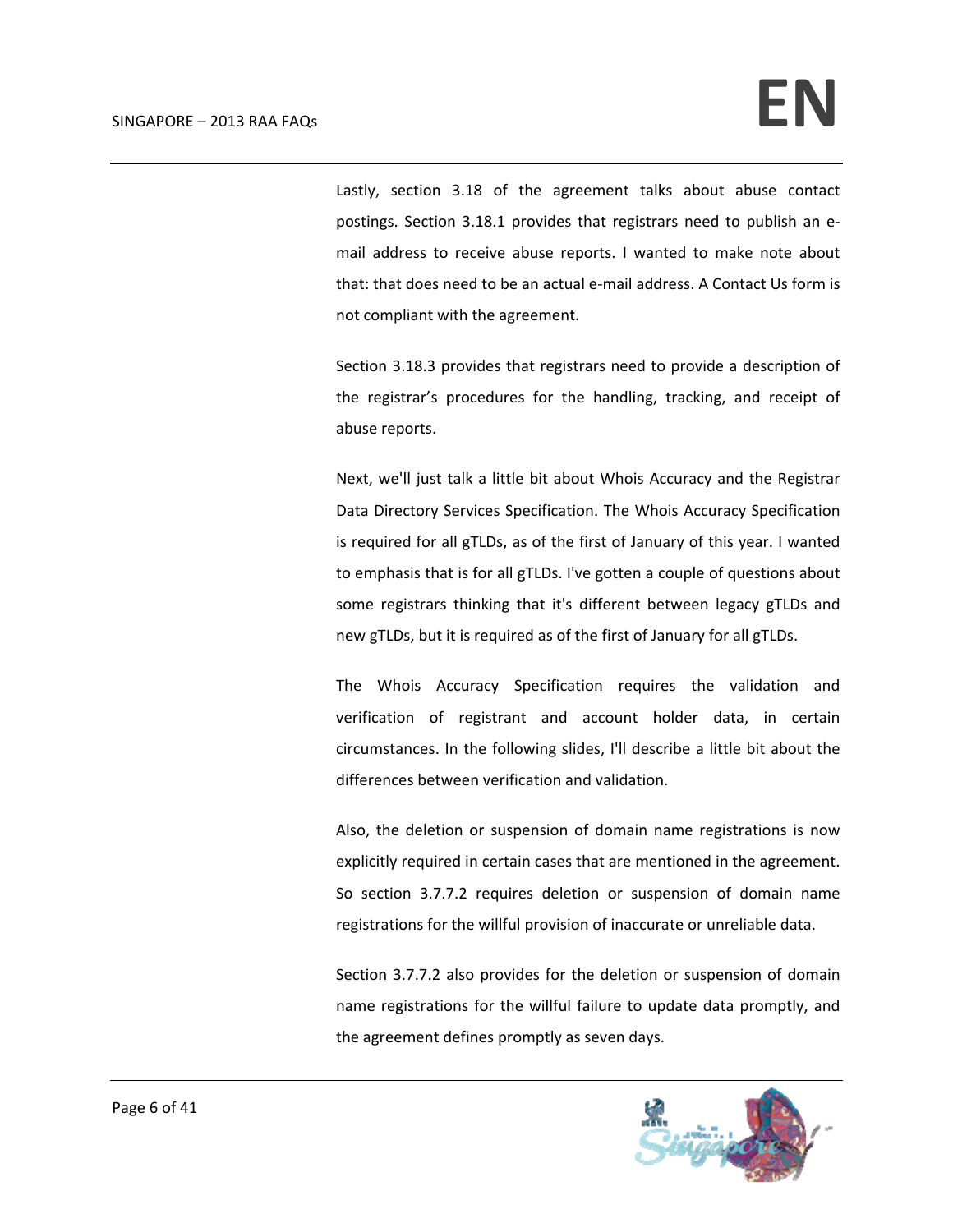Lastly, section 3.18 of the agreement talks about abuse contact postings. Section 3.18.1 provides that registrars need to publish an e‐ mail address to receive abuse reports. I wanted to make note about that: that does need to be an actual e‐mail address. A Contact Us form is not compliant with the agreement.

Section 3.18.3 provides that registrars need to provide a description of the registrar's procedures for the handling, tracking, and receipt of abuse reports.

Next, we'll just talk a little bit about Whois Accuracy and the Registrar Data Directory Services Specification. The Whois Accuracy Specification is required for all gTLDs, as of the first of January of this year. I wanted to emphasis that is for all gTLDs. I've gotten a couple of questions about some registrars thinking that it's different between legacy gTLDs and new gTLDs, but it is required as of the first of January for all gTLDs.

The Whois Accuracy Specification requires the validation and verification of registrant and account holder data, in certain circumstances. In the following slides, I'll describe a little bit about the differences between verification and validation.

Also, the deletion or suspension of domain name registrations is now explicitly required in certain cases that are mentioned in the agreement. So section 3.7.7.2 requires deletion or suspension of domain name registrations for the willful provision of inaccurate or unreliable data.

Section 3.7.7.2 also provides for the deletion or suspension of domain name registrations for the willful failure to update data promptly, and the agreement defines promptly as seven days.

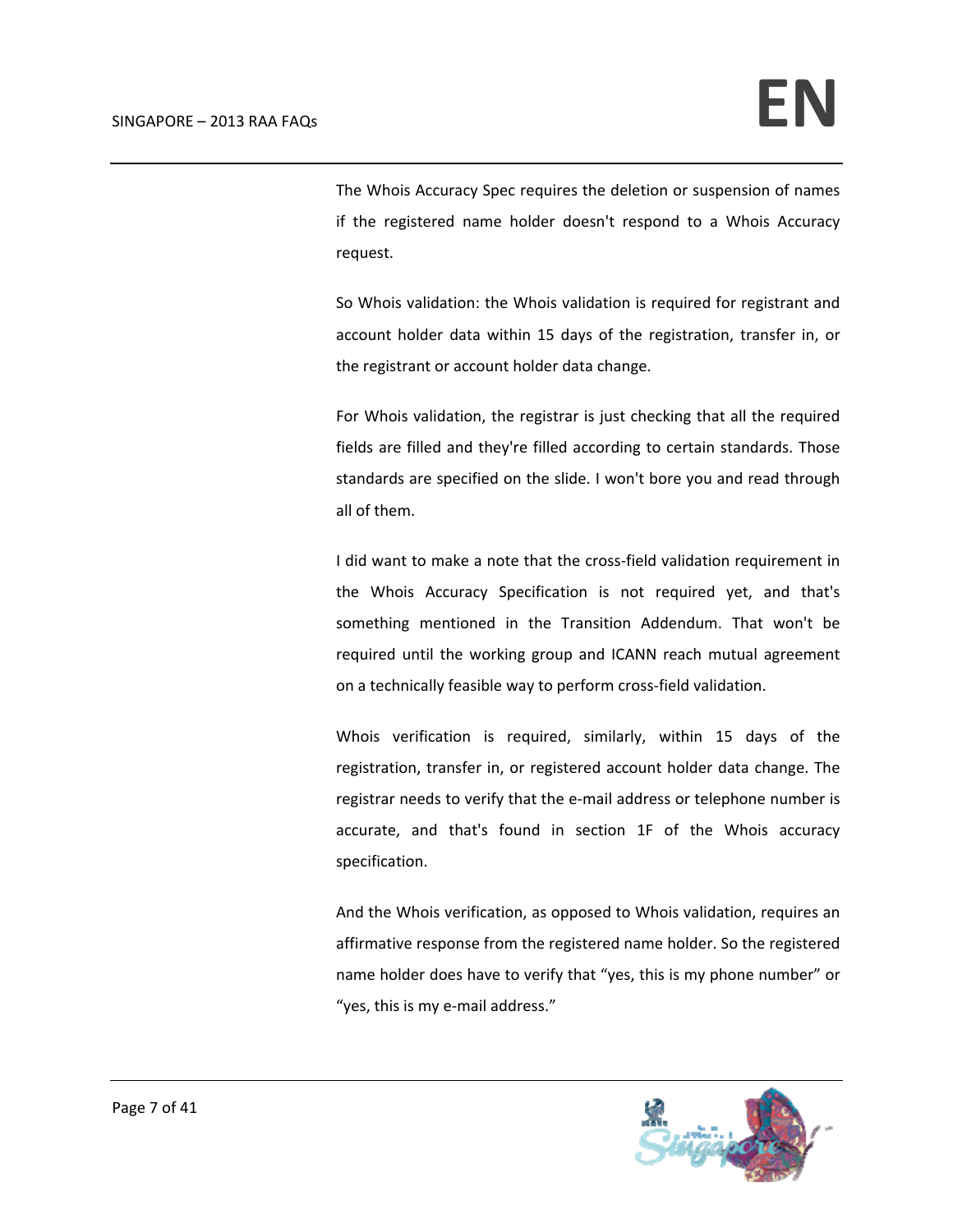The Whois Accuracy Spec requires the deletion or suspension of names if the registered name holder doesn't respond to a Whois Accuracy request.

So Whois validation: the Whois validation is required for registrant and account holder data within 15 days of the registration, transfer in, or the registrant or account holder data change.

For Whois validation, the registrar is just checking that all the required fields are filled and they're filled according to certain standards. Those standards are specified on the slide. I won't bore you and read through all of them.

I did want to make a note that the cross‐field validation requirement in the Whois Accuracy Specification is not required yet, and that's something mentioned in the Transition Addendum. That won't be required until the working group and ICANN reach mutual agreement on a technically feasible way to perform cross‐field validation.

Whois verification is required, similarly, within 15 days of the registration, transfer in, or registered account holder data change. The registrar needs to verify that the e-mail address or telephone number is accurate, and that's found in section 1F of the Whois accuracy specification.

And the Whois verification, as opposed to Whois validation, requires an affirmative response from the registered name holder. So the registered name holder does have to verify that "yes, this is my phone number" or "yes, this is my e‐mail address."

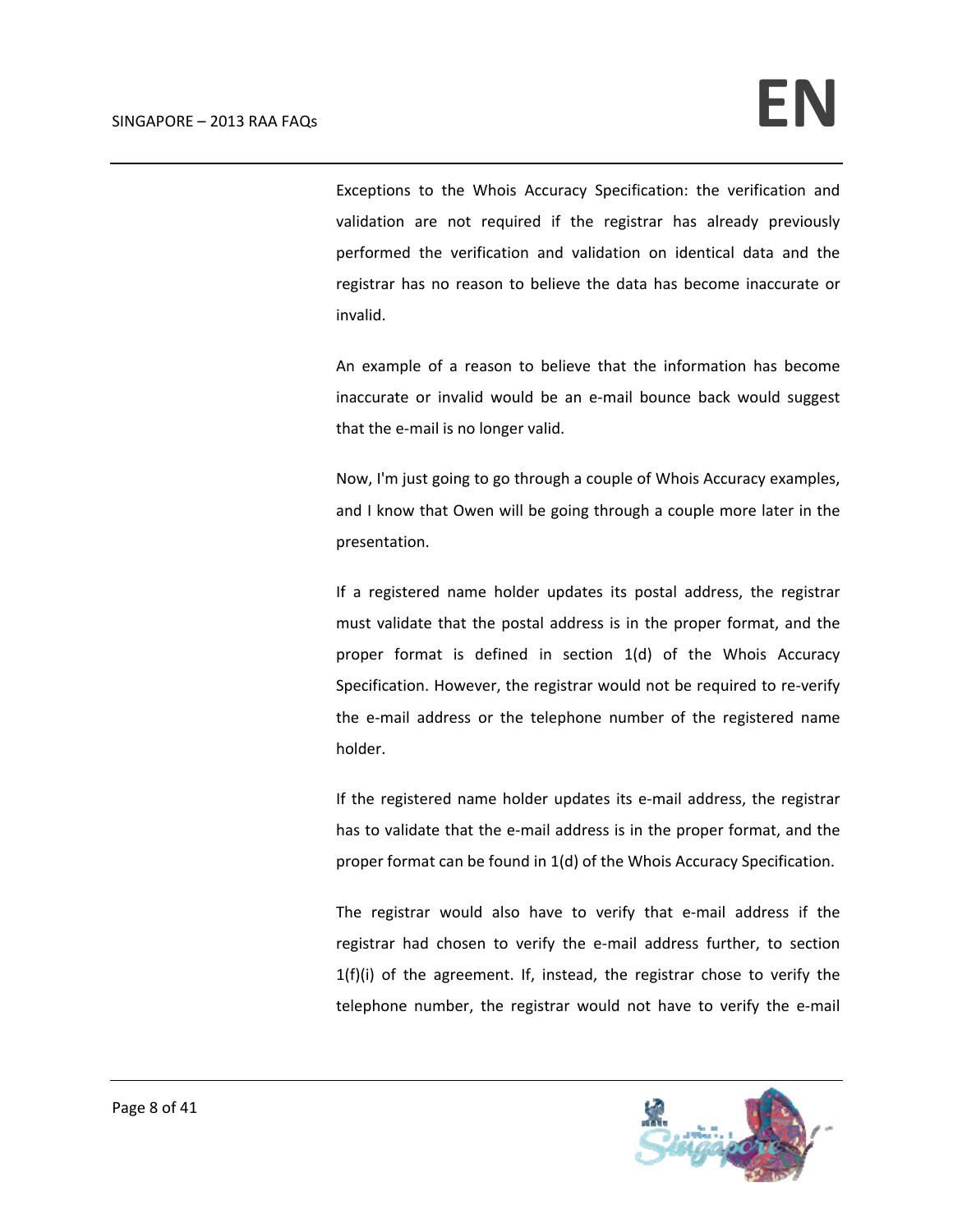Exceptions to the Whois Accuracy Specification: the verification and validation are not required if the registrar has already previously performed the verification and validation on identical data and the registrar has no reason to believe the data has become inaccurate or invalid.

An example of a reason to believe that the information has become inaccurate or invalid would be an e-mail bounce back would suggest that the e‐mail is no longer valid.

Now, I'm just going to go through a couple of Whois Accuracy examples, and I know that Owen will be going through a couple more later in the presentation.

If a registered name holder updates its postal address, the registrar must validate that the postal address is in the proper format, and the proper format is defined in section 1(d) of the Whois Accuracy Specification. However, the registrar would not be required to re-verify the e‐mail address or the telephone number of the registered name holder.

If the registered name holder updates its e‐mail address, the registrar has to validate that the e-mail address is in the proper format, and the proper format can be found in 1(d) of the Whois Accuracy Specification.

The registrar would also have to verify that e‐mail address if the registrar had chosen to verify the e‐mail address further, to section 1(f)(i) of the agreement. If, instead, the registrar chose to verify the telephone number, the registrar would not have to verify the e‐mail

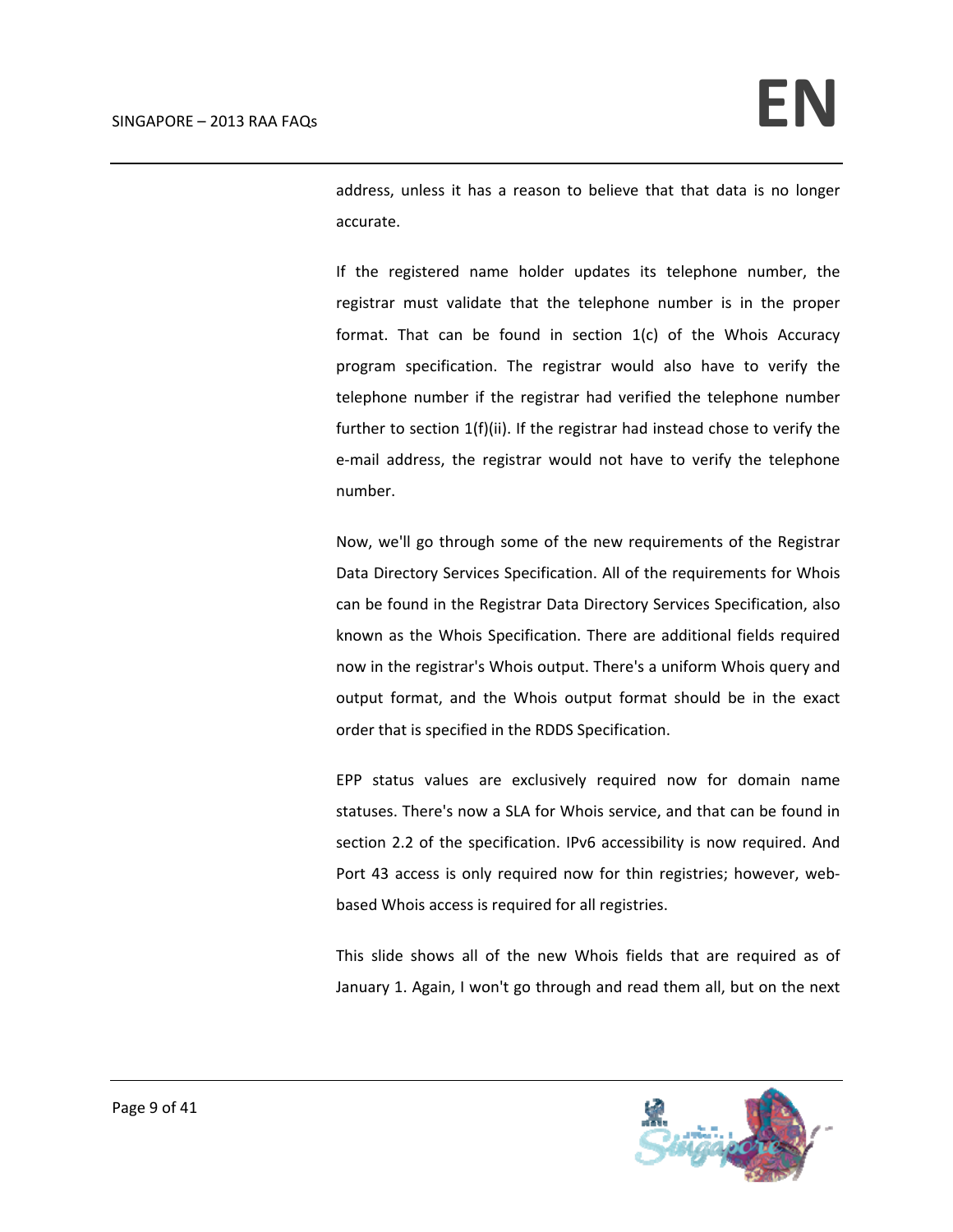address, unless it has a reason to believe that that data is no longer accurate.

If the registered name holder updates its telephone number, the registrar must validate that the telephone number is in the proper format. That can be found in section 1(c) of the Whois Accuracy program specification. The registrar would also have to verify the telephone number if the registrar had verified the telephone number further to section 1(f)(ii). If the registrar had instead chose to verify the e-mail address, the registrar would not have to verify the telephone number.

Now, we'll go through some of the new requirements of the Registrar Data Directory Services Specification. All of the requirements for Whois can be found in the Registrar Data Directory Services Specification, also known as the Whois Specification. There are additional fields required now in the registrar's Whois output. There's a uniform Whois query and output format, and the Whois output format should be in the exact order that is specified in the RDDS Specification.

EPP status values are exclusively required now for domain name statuses. There's now a SLA for Whois service, and that can be found in section 2.2 of the specification. IPv6 accessibility is now required. And Port 43 access is only required now for thin registries; however, web‐ based Whois access is required for all registries.

This slide shows all of the new Whois fields that are required as of January 1. Again, I won't go through and read them all, but on the next

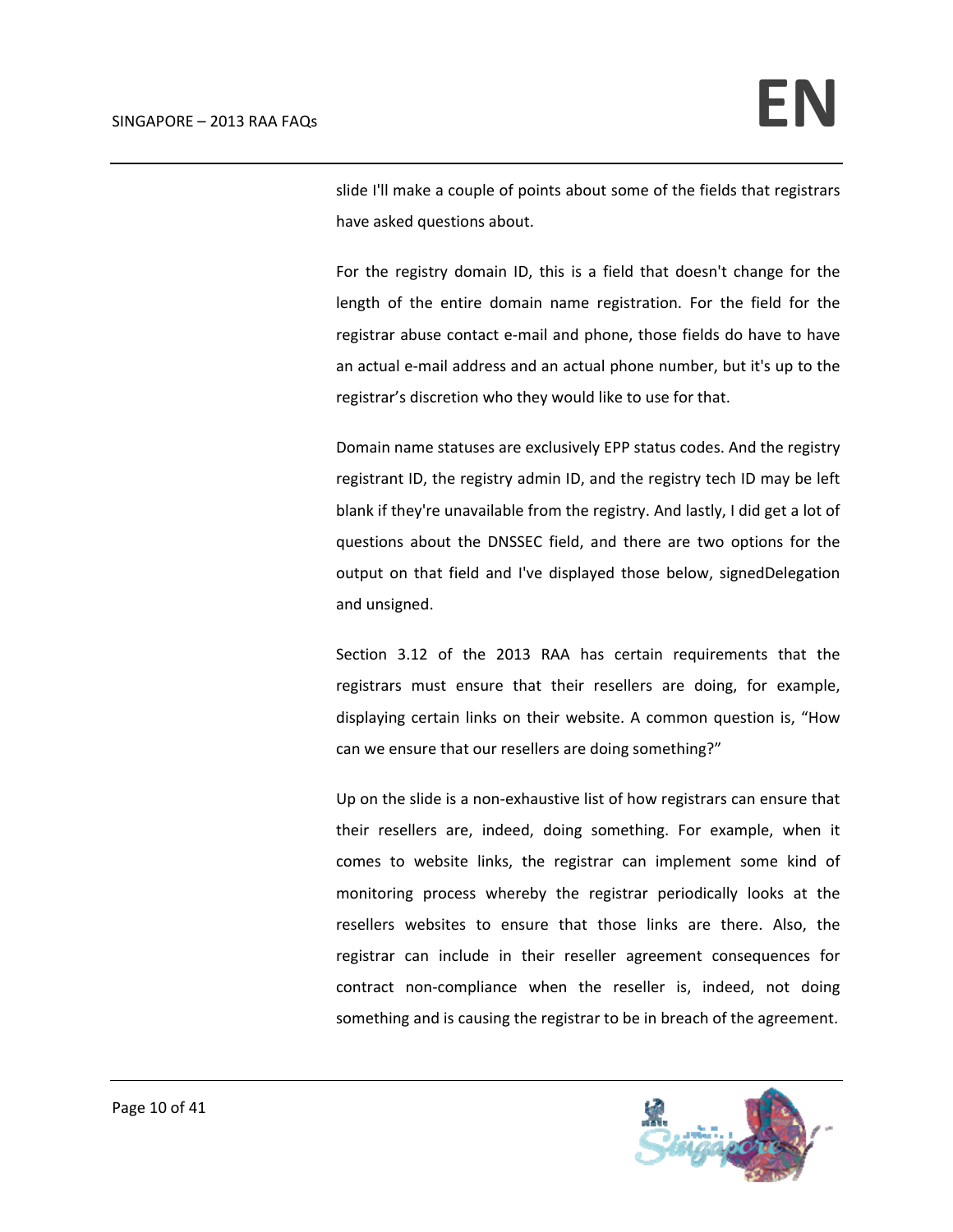slide I'll make a couple of points about some of the fields that registrars have asked questions about.

For the registry domain ID, this is a field that doesn't change for the length of the entire domain name registration. For the field for the registrar abuse contact e‐mail and phone, those fields do have to have an actual e‐mail address and an actual phone number, but it's up to the registrar's discretion who they would like to use for that.

Domain name statuses are exclusively EPP status codes. And the registry registrant ID, the registry admin ID, and the registry tech ID may be left blank if they're unavailable from the registry. And lastly, I did get a lot of questions about the DNSSEC field, and there are two options for the output on that field and I've displayed those below, signedDelegation and unsigned.

Section 3.12 of the 2013 RAA has certain requirements that the registrars must ensure that their resellers are doing, for example, displaying certain links on their website. A common question is, "How can we ensure that our resellers are doing something?"

Up on the slide is a non‐exhaustive list of how registrars can ensure that their resellers are, indeed, doing something. For example, when it comes to website links, the registrar can implement some kind of monitoring process whereby the registrar periodically looks at the resellers websites to ensure that those links are there. Also, the registrar can include in their reseller agreement consequences for contract non-compliance when the reseller is, indeed, not doing something and is causing the registrar to be in breach of the agreement.

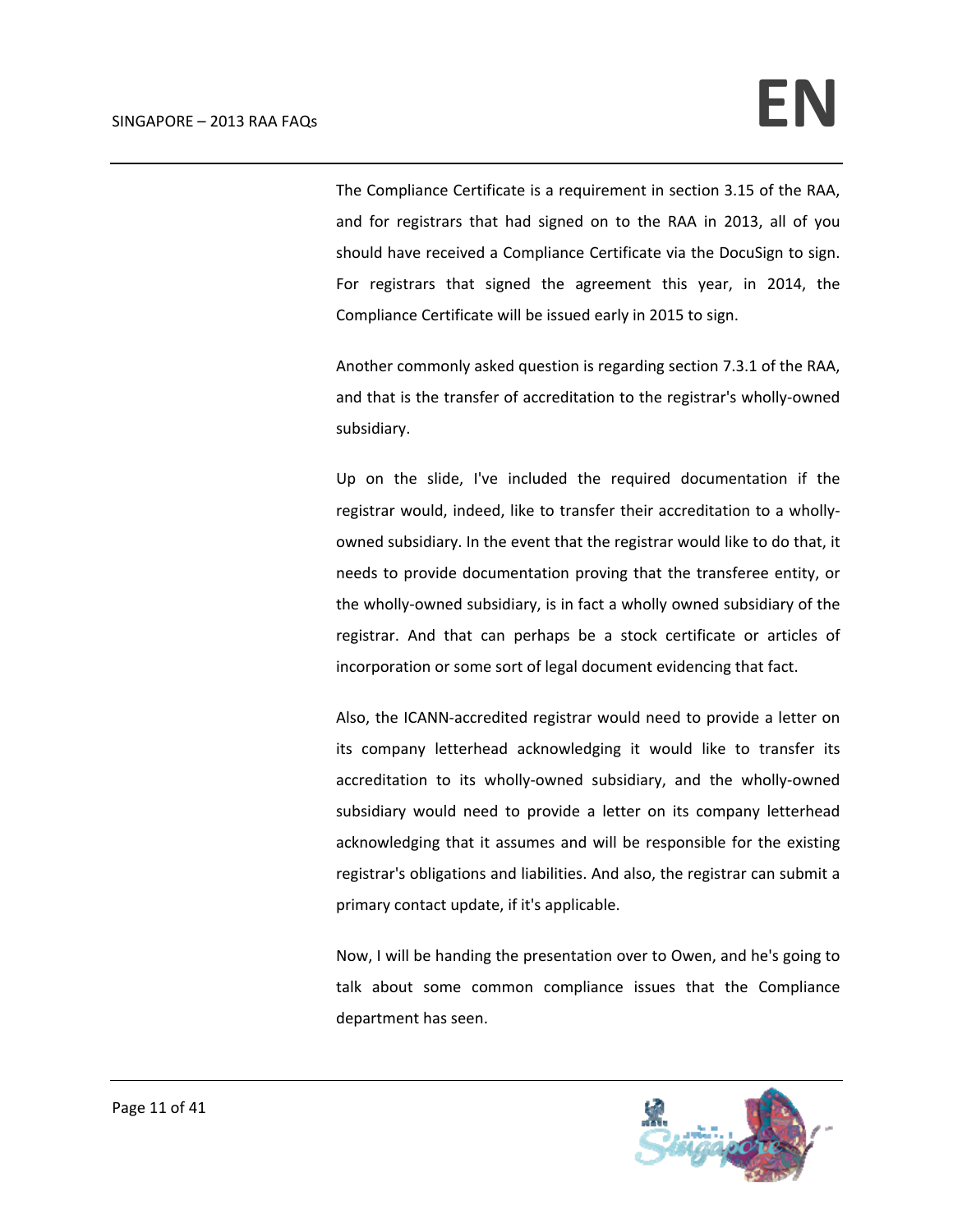The Compliance Certificate is a requirement in section 3.15 of the RAA, and for registrars that had signed on to the RAA in 2013, all of you should have received a Compliance Certificate via the DocuSign to sign. For registrars that signed the agreement this year, in 2014, the Compliance Certificate will be issued early in 2015 to sign.

Another commonly asked question is regarding section 7.3.1 of the RAA, and that is the transfer of accreditation to the registrar's wholly‐owned subsidiary.

Up on the slide, I've included the required documentation if the registrar would, indeed, like to transfer their accreditation to a wholly‐ owned subsidiary. In the event that the registrar would like to do that, it needs to provide documentation proving that the transferee entity, or the wholly‐owned subsidiary, is in fact a wholly owned subsidiary of the registrar. And that can perhaps be a stock certificate or articles of incorporation or some sort of legal document evidencing that fact.

Also, the ICANN‐accredited registrar would need to provide a letter on its company letterhead acknowledging it would like to transfer its accreditation to its wholly‐owned subsidiary, and the wholly‐owned subsidiary would need to provide a letter on its company letterhead acknowledging that it assumes and will be responsible for the existing registrar's obligations and liabilities. And also, the registrar can submit a primary contact update, if it's applicable.

Now, I will be handing the presentation over to Owen, and he's going to talk about some common compliance issues that the Compliance department has seen.

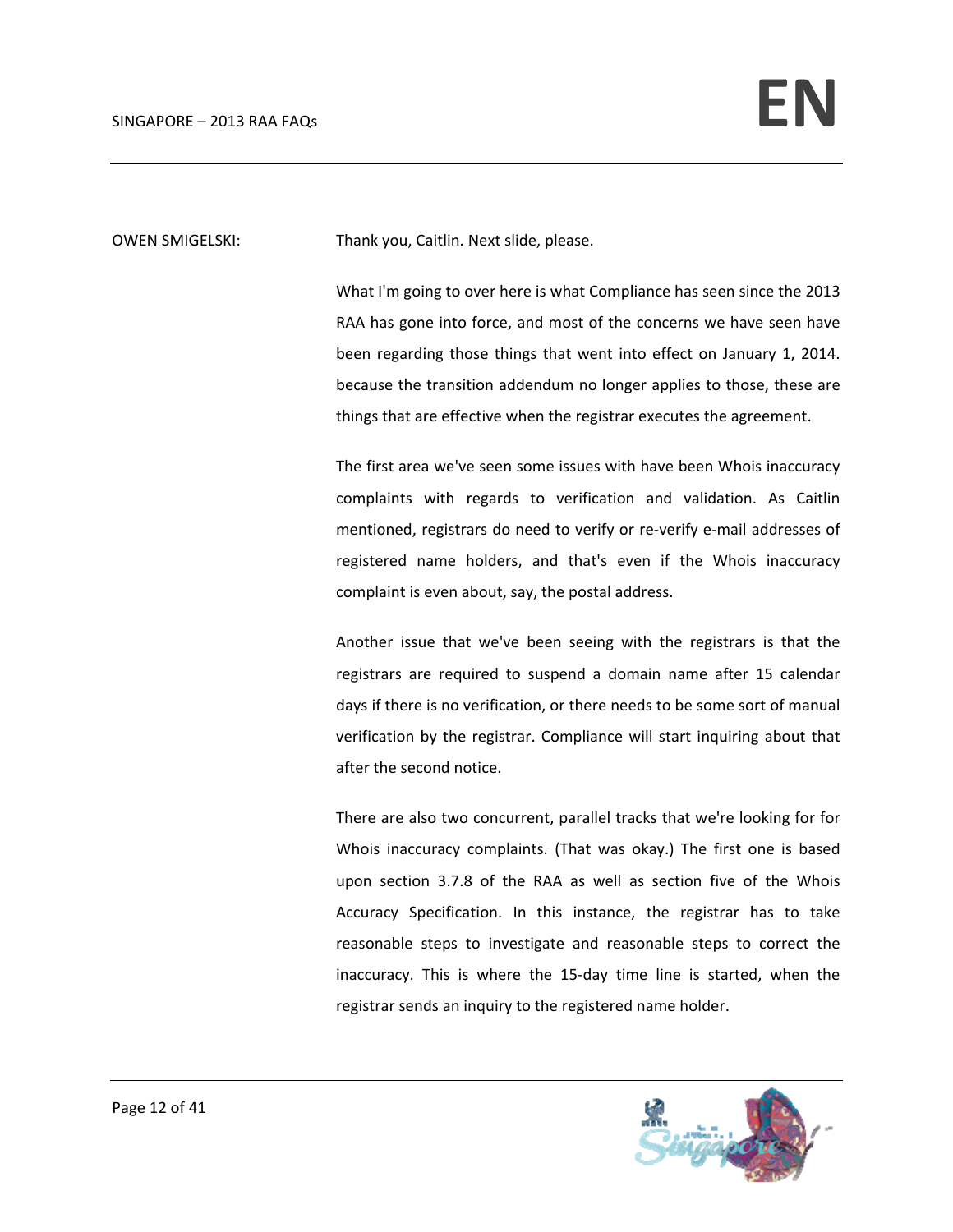OWEN SMIGELSKI: Thank you, Caitlin. Next slide, please.

What I'm going to over here is what Compliance has seen since the 2013 RAA has gone into force, and most of the concerns we have seen have been regarding those things that went into effect on January 1, 2014. because the transition addendum no longer applies to those, these are things that are effective when the registrar executes the agreement.

The first area we've seen some issues with have been Whois inaccuracy complaints with regards to verification and validation. As Caitlin mentioned, registrars do need to verify or re-verify e-mail addresses of registered name holders, and that's even if the Whois inaccuracy complaint is even about, say, the postal address.

Another issue that we've been seeing with the registrars is that the registrars are required to suspend a domain name after 15 calendar days if there is no verification, or there needs to be some sort of manual verification by the registrar. Compliance will start inquiring about that after the second notice.

There are also two concurrent, parallel tracks that we're looking for for Whois inaccuracy complaints. (That was okay.) The first one is based upon section 3.7.8 of the RAA as well as section five of the Whois Accuracy Specification. In this instance, the registrar has to take reasonable steps to investigate and reasonable steps to correct the inaccuracy. This is where the 15‐day time line is started, when the registrar sends an inquiry to the registered name holder.

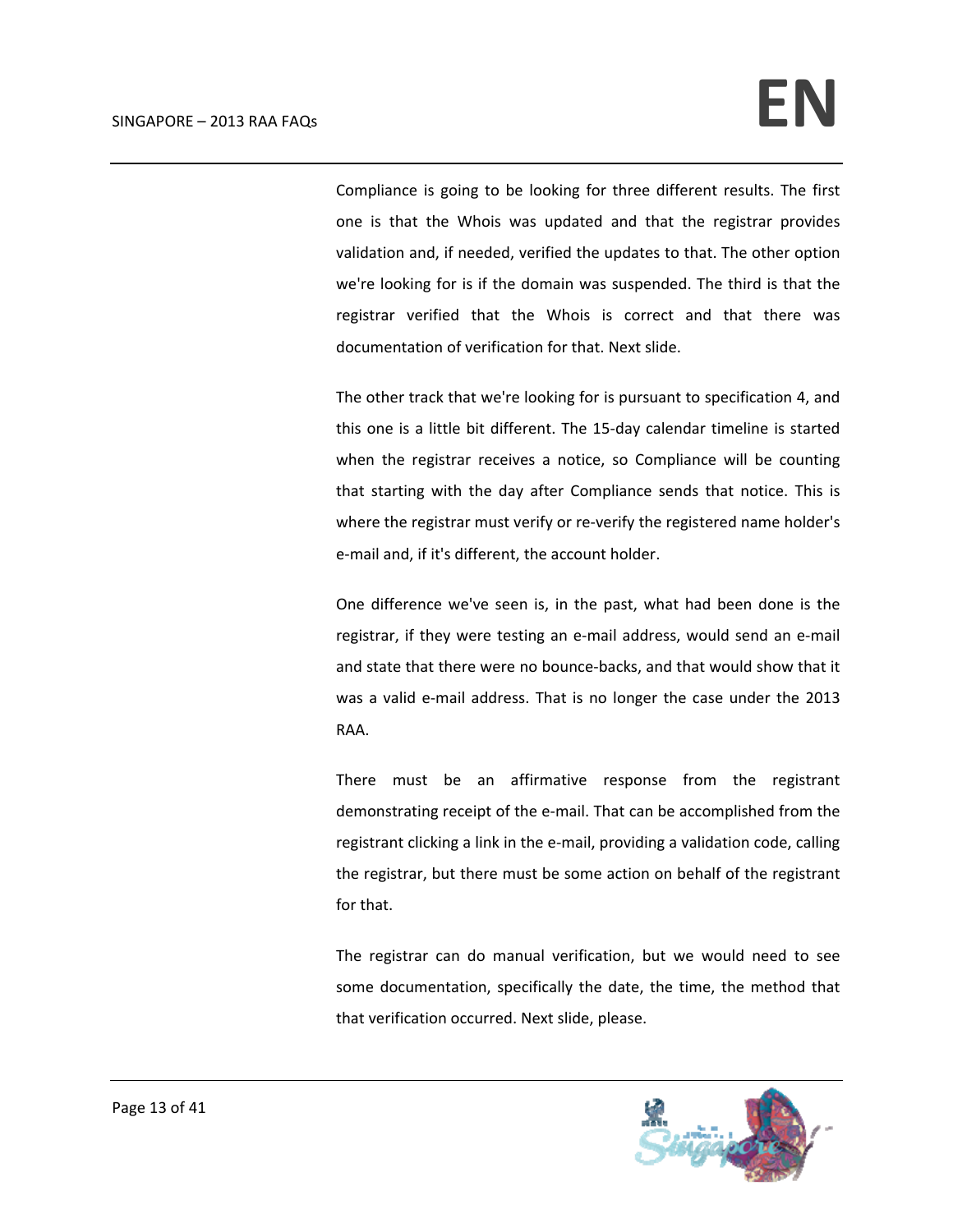Compliance is going to be looking for three different results. The first one is that the Whois was updated and that the registrar provides validation and, if needed, verified the updates to that. The other option we're looking for is if the domain was suspended. The third is that the registrar verified that the Whois is correct and that there was documentation of verification for that. Next slide.

The other track that we're looking for is pursuant to specification 4, and this one is a little bit different. The 15‐day calendar timeline is started when the registrar receives a notice, so Compliance will be counting that starting with the day after Compliance sends that notice. This is where the registrar must verify or re-verify the registered name holder's e‐mail and, if it's different, the account holder.

One difference we've seen is, in the past, what had been done is the registrar, if they were testing an e‐mail address, would send an e‐mail and state that there were no bounce‐backs, and that would show that it was a valid e-mail address. That is no longer the case under the 2013 RAA.

There must be an affirmative response from the registrant demonstrating receipt of the e‐mail. That can be accomplished from the registrant clicking a link in the e‐mail, providing a validation code, calling the registrar, but there must be some action on behalf of the registrant for that.

The registrar can do manual verification, but we would need to see some documentation, specifically the date, the time, the method that that verification occurred. Next slide, please.

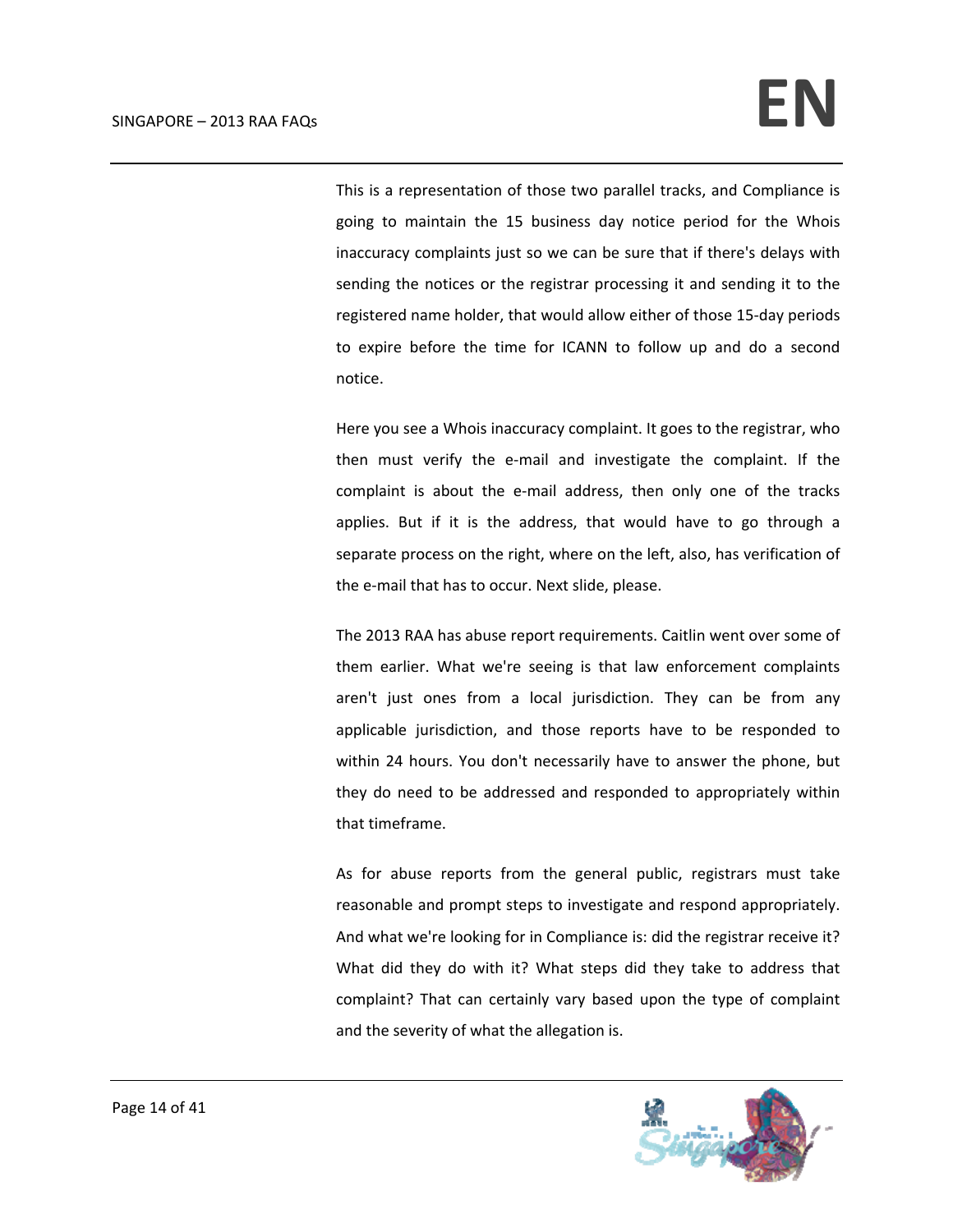This is a representation of those two parallel tracks, and Compliance is going to maintain the 15 business day notice period for the Whois inaccuracy complaints just so we can be sure that if there's delays with sending the notices or the registrar processing it and sending it to the registered name holder, that would allow either of those 15‐day periods to expire before the time for ICANN to follow up and do a second notice.

Here you see a Whois inaccuracy complaint. It goes to the registrar, who then must verify the e-mail and investigate the complaint. If the complaint is about the e-mail address, then only one of the tracks applies. But if it is the address, that would have to go through a separate process on the right, where on the left, also, has verification of the e-mail that has to occur. Next slide, please.

The 2013 RAA has abuse report requirements. Caitlin went over some of them earlier. What we're seeing is that law enforcement complaints aren't just ones from a local jurisdiction. They can be from any applicable jurisdiction, and those reports have to be responded to within 24 hours. You don't necessarily have to answer the phone, but they do need to be addressed and responded to appropriately within that timeframe.

As for abuse reports from the general public, registrars must take reasonable and prompt steps to investigate and respond appropriately. And what we're looking for in Compliance is: did the registrar receive it? What did they do with it? What steps did they take to address that complaint? That can certainly vary based upon the type of complaint and the severity of what the allegation is.

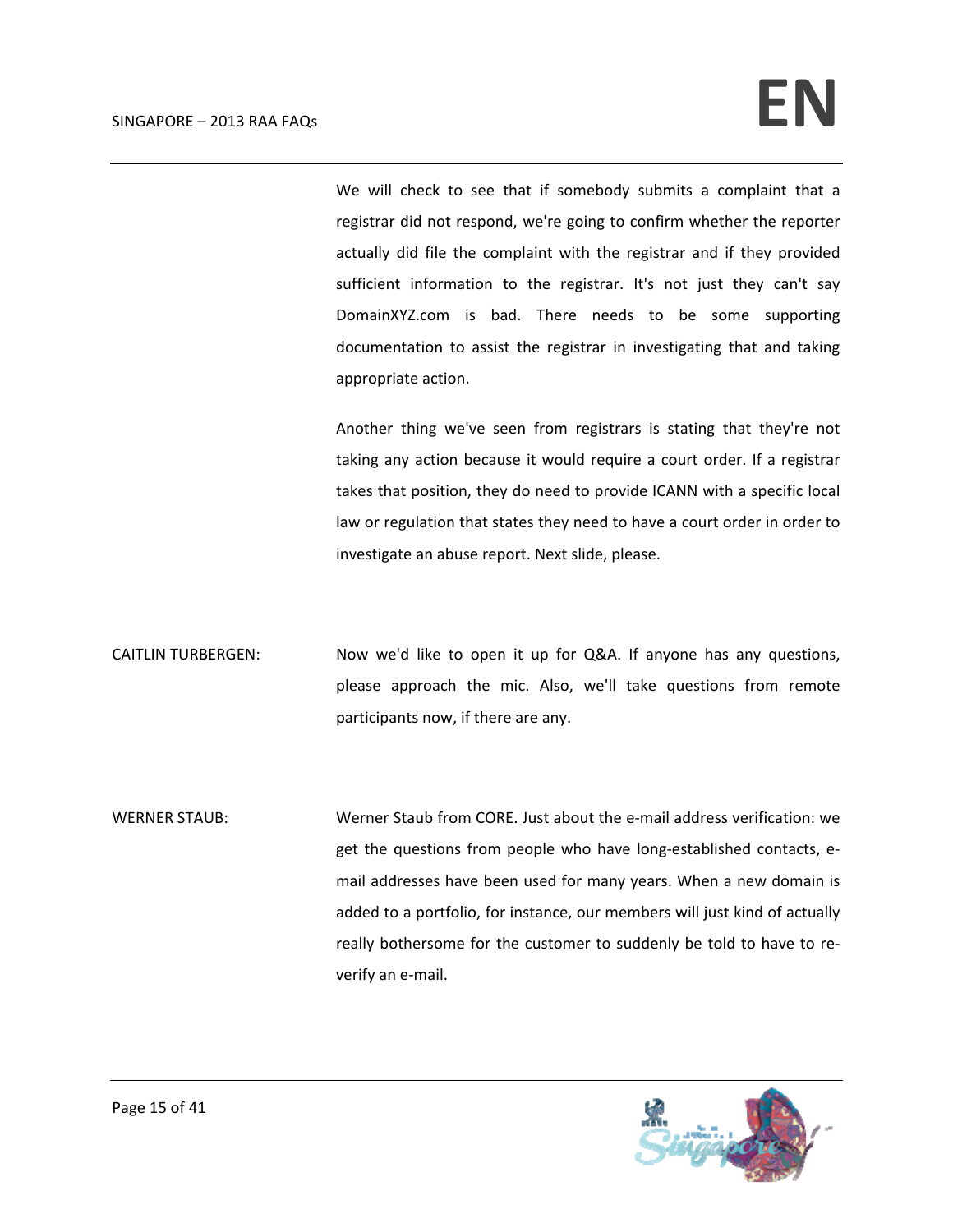We will check to see that if somebody submits a complaint that a registrar did not respond, we're going to confirm whether the reporter actually did file the complaint with the registrar and if they provided sufficient information to the registrar. It's not just they can't say DomainXYZ.com is bad. There needs to be some supporting documentation to assist the registrar in investigating that and taking appropriate action.

Another thing we've seen from registrars is stating that they're not taking any action because it would require a court order. If a registrar takes that position, they do need to provide ICANN with a specific local law or regulation that states they need to have a court order in order to investigate an abuse report. Next slide, please.

- CAITLIN TURBERGEN: Now we'd like to open it up for Q&A. If anyone has any questions, please approach the mic. Also, we'll take questions from remote participants now, if there are any.
- WERNER STAUB: Werner Staub from CORE. Just about the e-mail address verification: we get the questions from people who have long‐established contacts, e‐ mail addresses have been used for many years. When a new domain is added to a portfolio, for instance, our members will just kind of actually really bothersome for the customer to suddenly be told to have to re‐ verify an e‐mail.

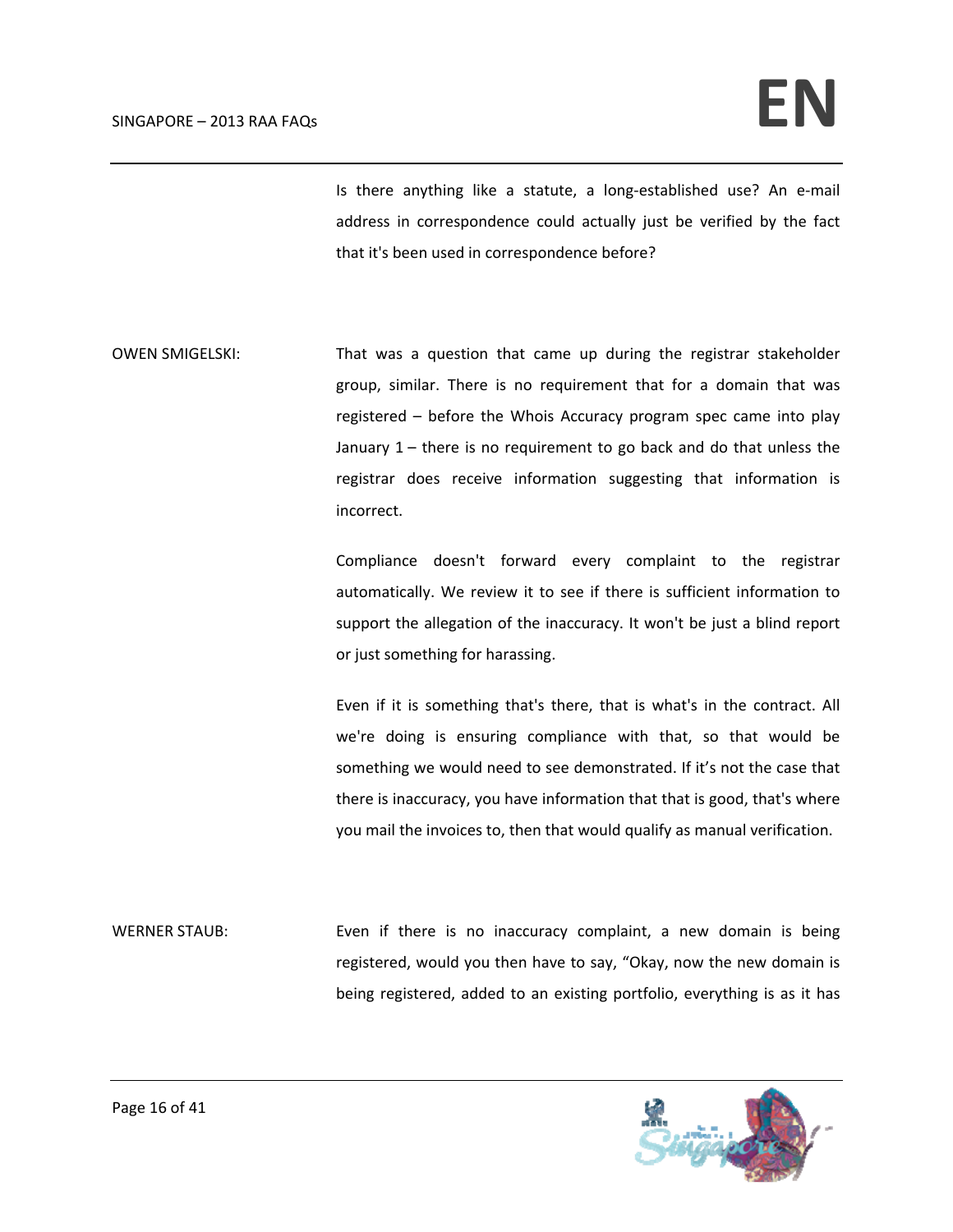Is there anything like a statute, a long-established use? An e-mail address in correspondence could actually just be verified by the fact that it's been used in correspondence before?

OWEN SMIGELSKI: That was a question that came up during the registrar stakeholder group, similar. There is no requirement that for a domain that was registered – before the Whois Accuracy program spec came into play January 1 – there is no requirement to go back and do that unless the registrar does receive information suggesting that information is incorrect.

> Compliance doesn't forward every complaint to the registrar automatically. We review it to see if there is sufficient information to support the allegation of the inaccuracy. It won't be just a blind report or just something for harassing.

> Even if it is something that's there, that is what's in the contract. All we're doing is ensuring compliance with that, so that would be something we would need to see demonstrated. If it's not the case that there is inaccuracy, you have information that that is good, that's where you mail the invoices to, then that would qualify as manual verification.

WERNER STAUB: Even if there is no inaccuracy complaint, a new domain is being registered, would you then have to say, "Okay, now the new domain is being registered, added to an existing portfolio, everything is as it has

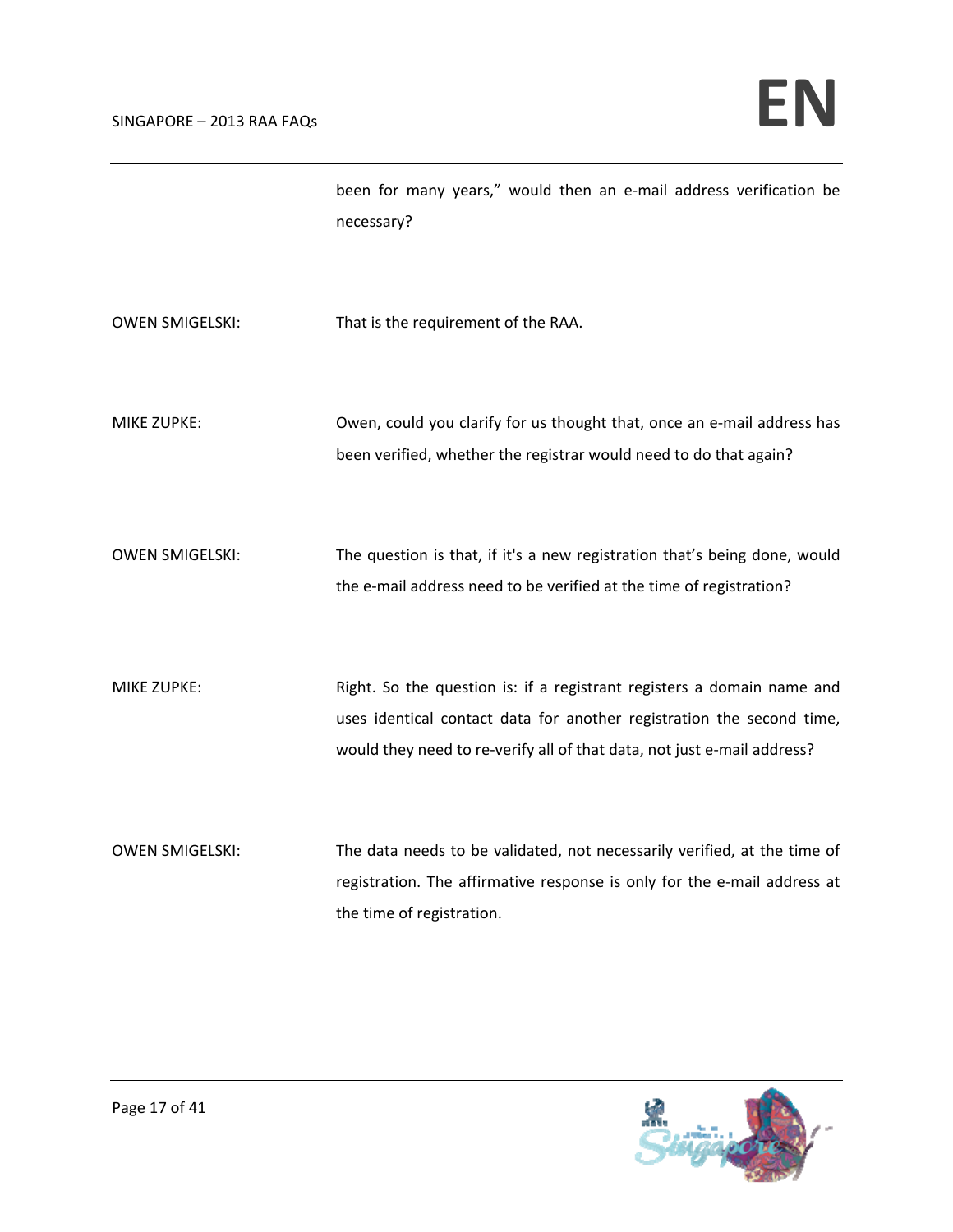been for many years," would then an e‐mail address verification be necessary?

- OWEN SMIGELSKI: That is the requirement of the RAA.
- MIKE ZUPKE: Owen, could you clarify for us thought that, once an e-mail address has been verified, whether the registrar would need to do that again?
- OWEN SMIGELSKI: The question is that, if it's a new registration that's being done, would the e-mail address need to be verified at the time of registration?
- MIKE ZUPKE: Right. So the question is: if a registrant registers a domain name and uses identical contact data for another registration the second time, would they need to re-verify all of that data, not just e-mail address?
- OWEN SMIGELSKI: The data needs to be validated, not necessarily verified, at the time of registration. The affirmative response is only for the e-mail address at the time of registration.

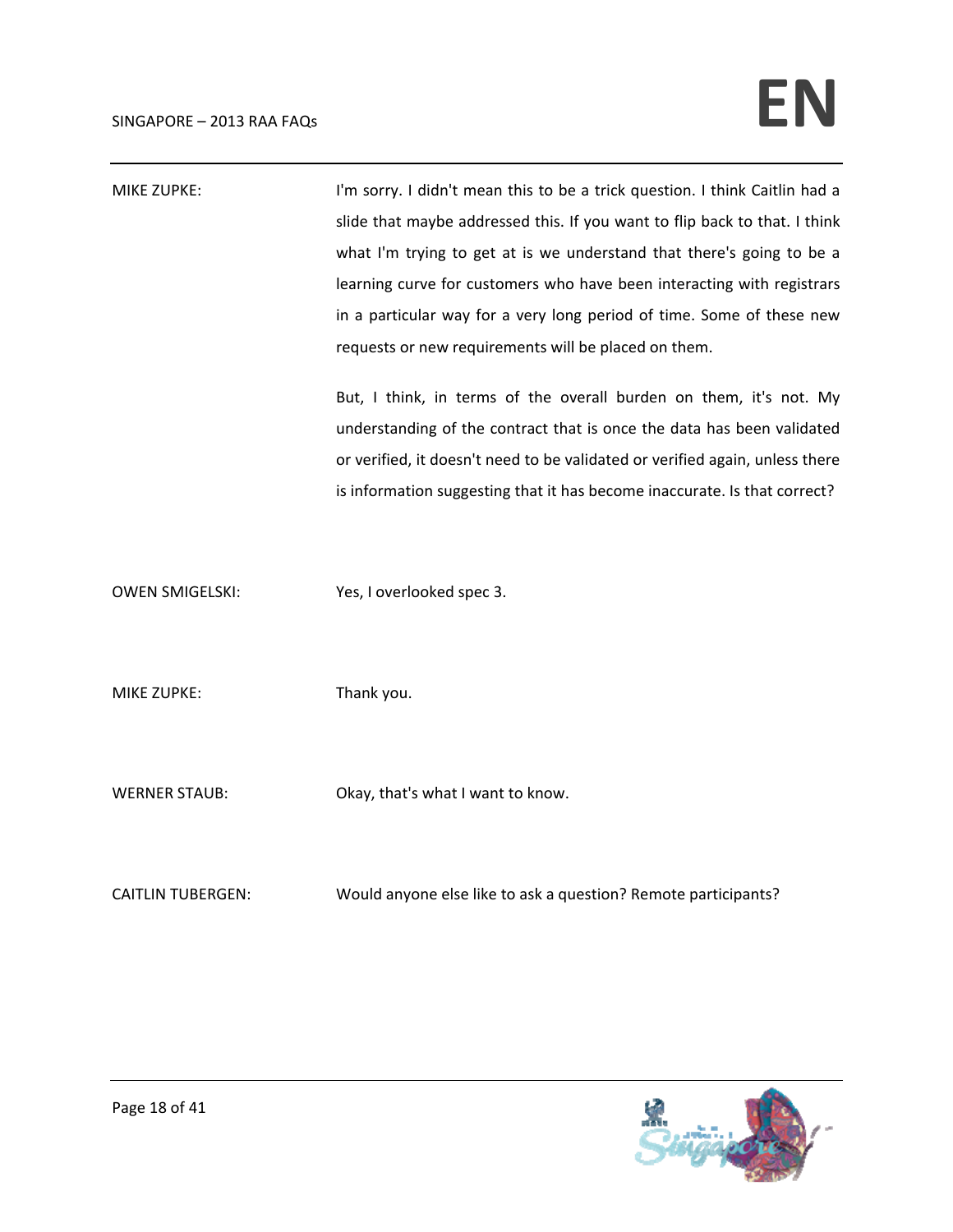| MIKE ZUPKE: | I'm sorry. I didn't mean this to be a trick question. I think Caitlin had a |
|-------------|-----------------------------------------------------------------------------|
|             | slide that maybe addressed this. If you want to flip back to that. I think  |
|             | what I'm trying to get at is we understand that there's going to be a       |
|             | learning curve for customers who have been interacting with registrars      |
|             | in a particular way for a very long period of time. Some of these new       |
|             | requests or new requirements will be placed on them.                        |
|             |                                                                             |

But, I think, in terms of the overall burden on them, it's not. My understanding of the contract that is once the data has been validated or verified, it doesn't need to be validated or verified again, unless there is information suggesting that it has become inaccurate. Is that correct?

OWEN SMIGELSKI: Yes, I overlooked spec 3.

MIKE ZUPKE: Thank you.

WERNER STAUB: Okay, that's what I want to know.

CAITLIN TUBERGEN: Would anyone else like to ask a question? Remote participants?

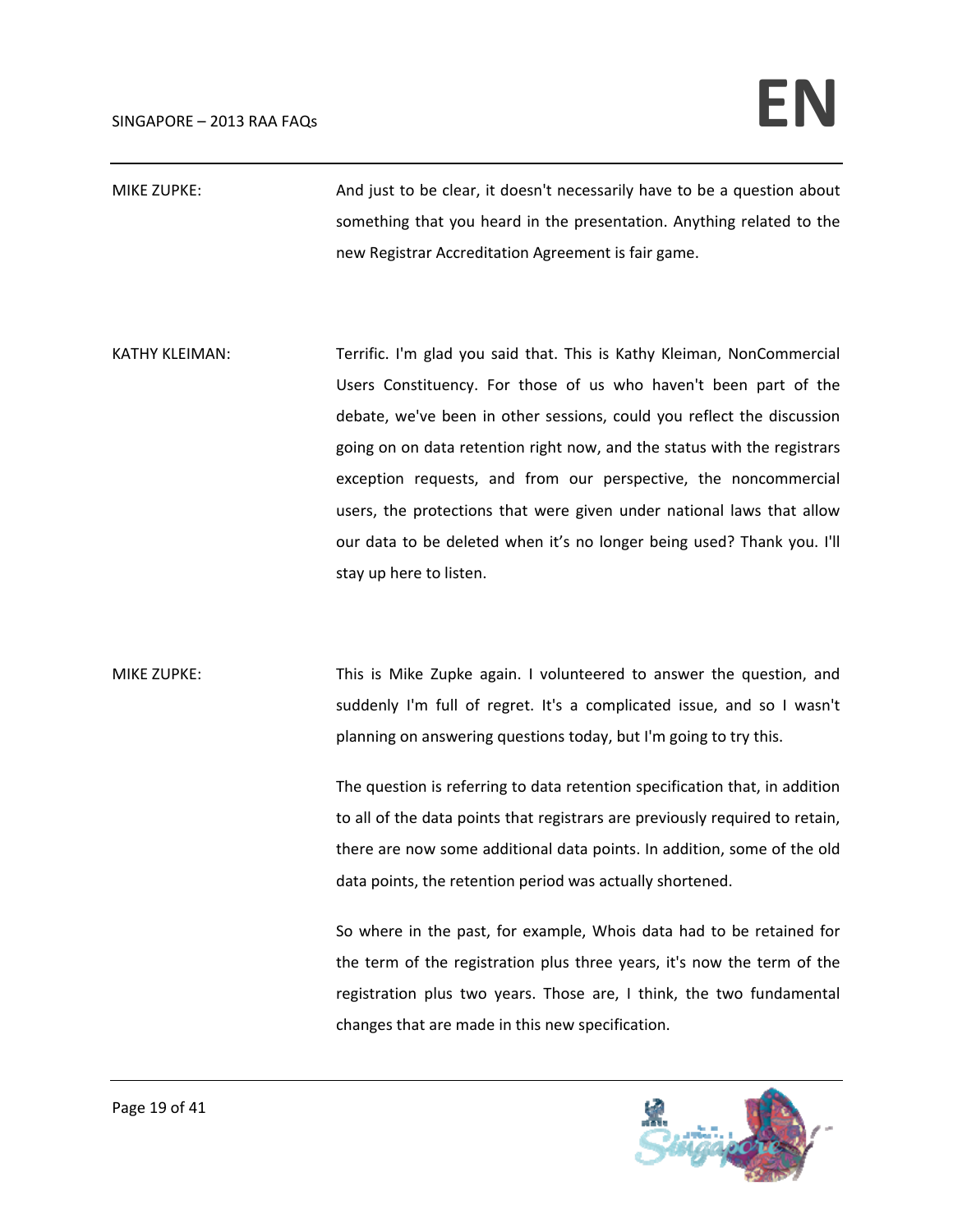MIKE ZUPKE: And just to be clear, it doesn't necessarily have to be a question about something that you heard in the presentation. Anything related to the new Registrar Accreditation Agreement is fair game.

KATHY KLEIMAN: Terrific. I'm glad you said that. This is Kathy Kleiman, NonCommercial Users Constituency. For those of us who haven't been part of the debate, we've been in other sessions, could you reflect the discussion going on on data retention right now, and the status with the registrars exception requests, and from our perspective, the noncommercial users, the protections that were given under national laws that allow our data to be deleted when it's no longer being used? Thank you. I'll stay up here to listen.

MIKE ZUPKE: This is Mike Zupke again. I volunteered to answer the question, and suddenly I'm full of regret. It's a complicated issue, and so I wasn't planning on answering questions today, but I'm going to try this.

> The question is referring to data retention specification that, in addition to all of the data points that registrars are previously required to retain, there are now some additional data points. In addition, some of the old data points, the retention period was actually shortened.

> So where in the past, for example, Whois data had to be retained for the term of the registration plus three years, it's now the term of the registration plus two years. Those are, I think, the two fundamental changes that are made in this new specification.

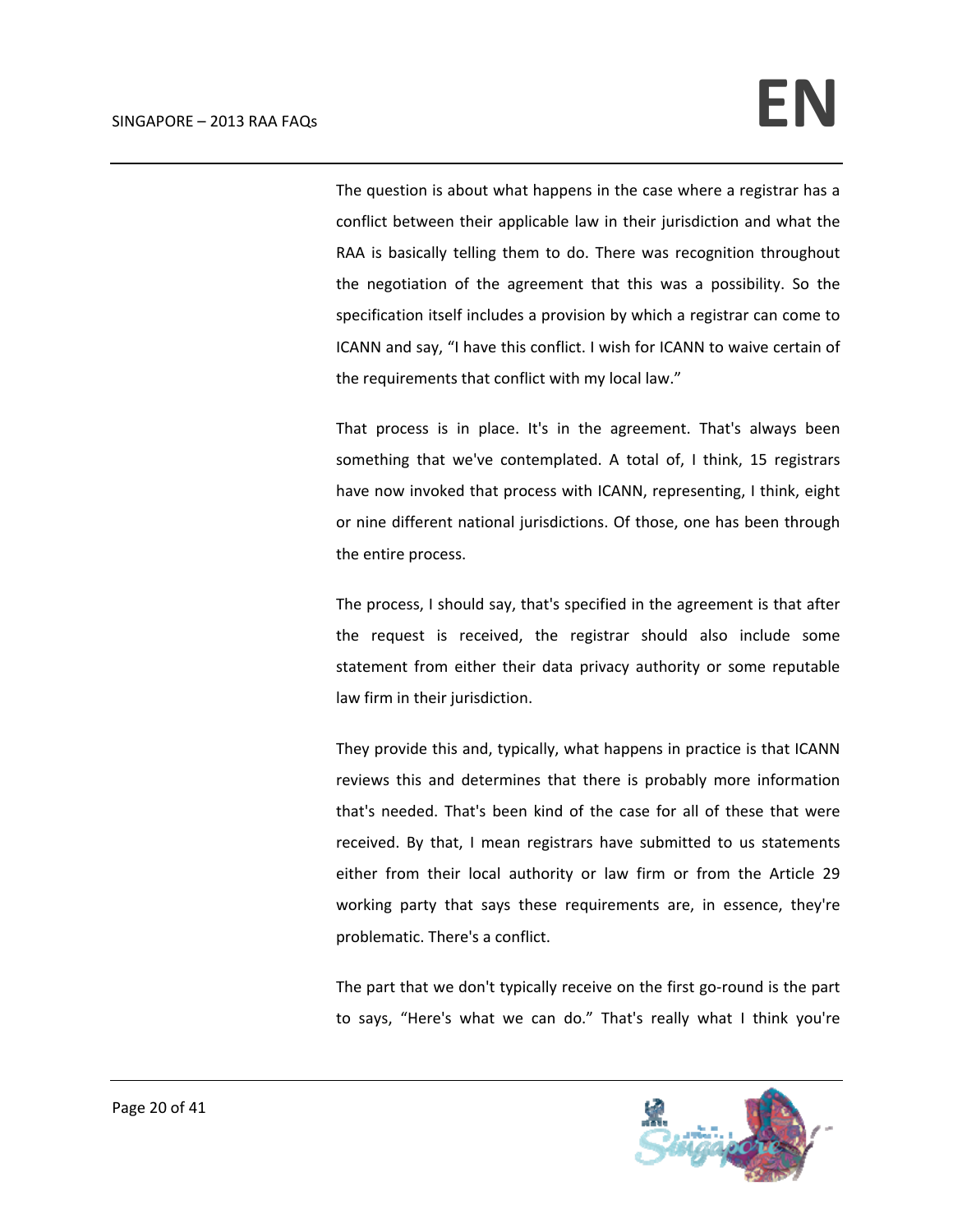The question is about what happens in the case where a registrar has a conflict between their applicable law in their jurisdiction and what the RAA is basically telling them to do. There was recognition throughout the negotiation of the agreement that this was a possibility. So the specification itself includes a provision by which a registrar can come to ICANN and say, "I have this conflict. I wish for ICANN to waive certain of the requirements that conflict with my local law."

That process is in place. It's in the agreement. That's always been something that we've contemplated. A total of, I think, 15 registrars have now invoked that process with ICANN, representing, I think, eight or nine different national jurisdictions. Of those, one has been through the entire process.

The process, I should say, that's specified in the agreement is that after the request is received, the registrar should also include some statement from either their data privacy authority or some reputable law firm in their jurisdiction.

They provide this and, typically, what happens in practice is that ICANN reviews this and determines that there is probably more information that's needed. That's been kind of the case for all of these that were received. By that, I mean registrars have submitted to us statements either from their local authority or law firm or from the Article 29 working party that says these requirements are, in essence, they're problematic. There's a conflict.

The part that we don't typically receive on the first go-round is the part to says, "Here's what we can do." That's really what I think you're

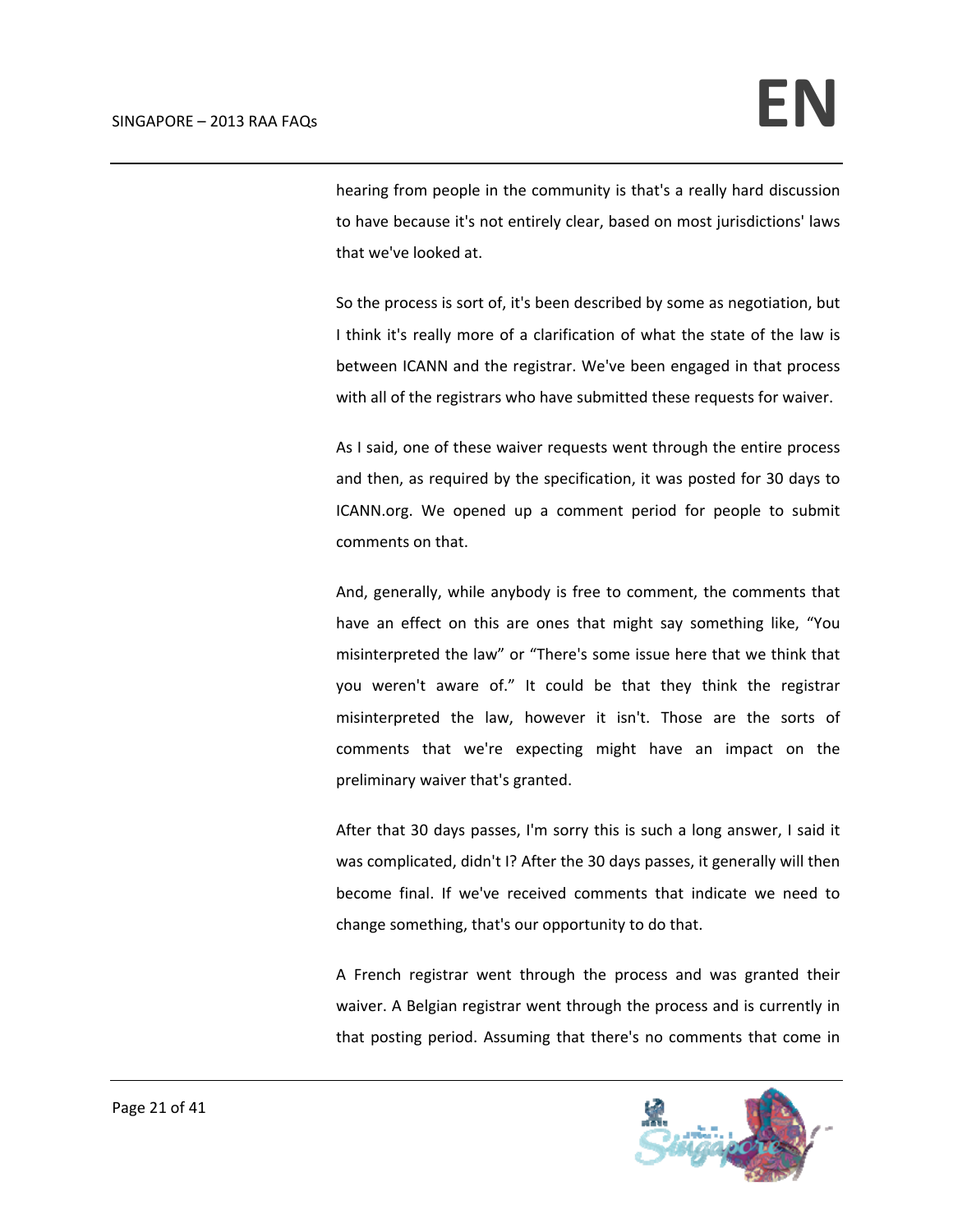hearing from people in the community is that's a really hard discussion to have because it's not entirely clear, based on most jurisdictions' laws that we've looked at.

So the process is sort of, it's been described by some as negotiation, but I think it's really more of a clarification of what the state of the law is between ICANN and the registrar. We've been engaged in that process with all of the registrars who have submitted these requests for waiver.

As I said, one of these waiver requests went through the entire process and then, as required by the specification, it was posted for 30 days to ICANN.org. We opened up a comment period for people to submit comments on that.

And, generally, while anybody is free to comment, the comments that have an effect on this are ones that might say something like, "You misinterpreted the law" or "There's some issue here that we think that you weren't aware of." It could be that they think the registrar misinterpreted the law, however it isn't. Those are the sorts of comments that we're expecting might have an impact on the preliminary waiver that's granted.

After that 30 days passes, I'm sorry this is such a long answer, I said it was complicated, didn't I? After the 30 days passes, it generally will then become final. If we've received comments that indicate we need to change something, that's our opportunity to do that.

A French registrar went through the process and was granted their waiver. A Belgian registrar went through the process and is currently in that posting period. Assuming that there's no comments that come in

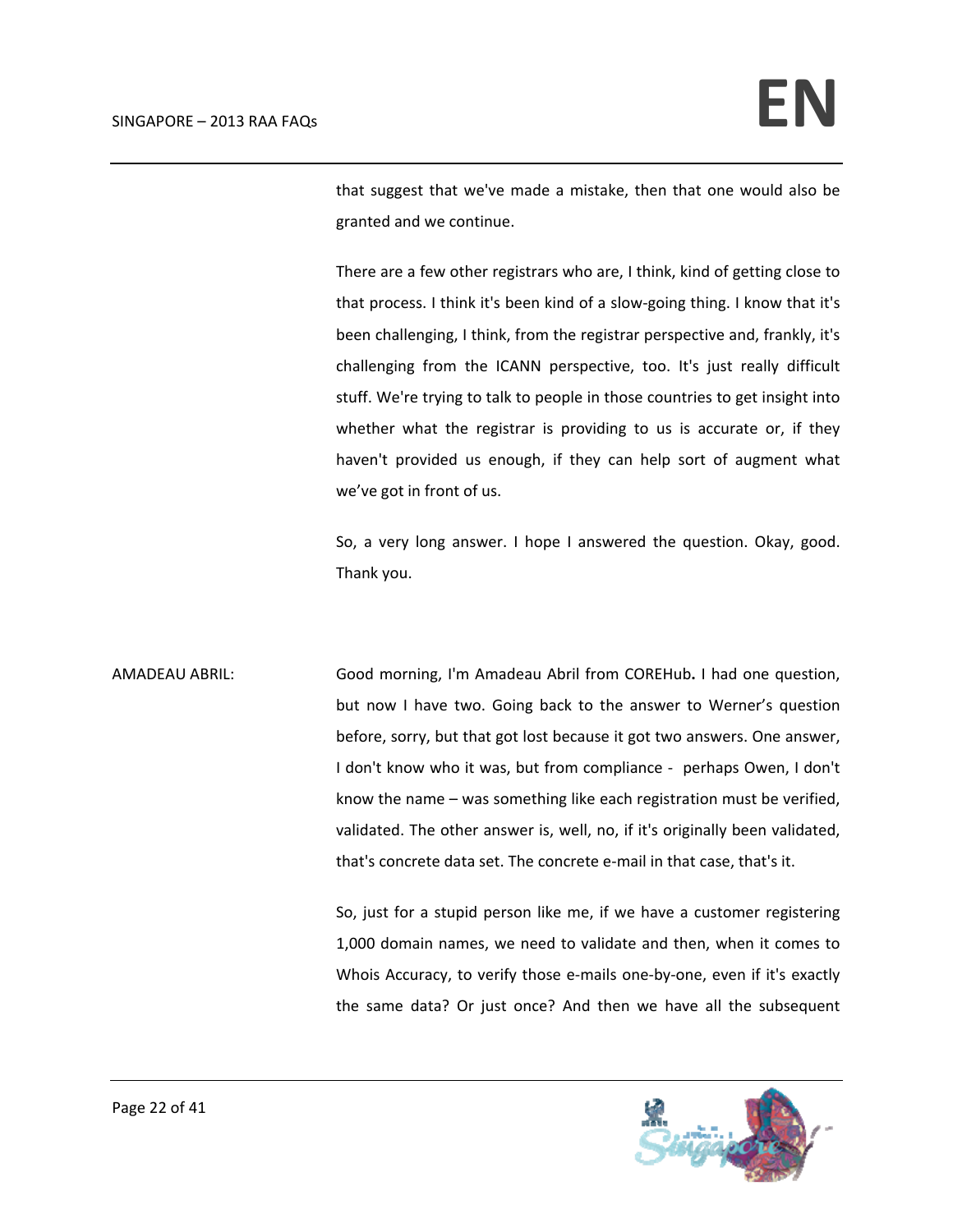that suggest that we've made a mistake, then that one would also be granted and we continue.

There are a few other registrars who are, I think, kind of getting close to that process. I think it's been kind of a slow‐going thing. I know that it's been challenging, I think, from the registrar perspective and, frankly, it's challenging from the ICANN perspective, too. It's just really difficult stuff. We're trying to talk to people in those countries to get insight into whether what the registrar is providing to us is accurate or, if they haven't provided us enough, if they can help sort of augment what we've got in front of us.

So, a very long answer. I hope I answered the question. Okay, good. Thank you.

AMADEAU ABRIL: Good morning, I'm Amadeau Abril from COREHub**.** I had one question, but now I have two. Going back to the answer to Werner's question before, sorry, but that got lost because it got two answers. One answer, I don't know who it was, but from compliance - perhaps Owen, I don't know the name – was something like each registration must be verified, validated. The other answer is, well, no, if it's originally been validated, that's concrete data set. The concrete e‐mail in that case, that's it.

> So, just for a stupid person like me, if we have a customer registering 1,000 domain names, we need to validate and then, when it comes to Whois Accuracy, to verify those e-mails one-by-one, even if it's exactly the same data? Or just once? And then we have all the subsequent

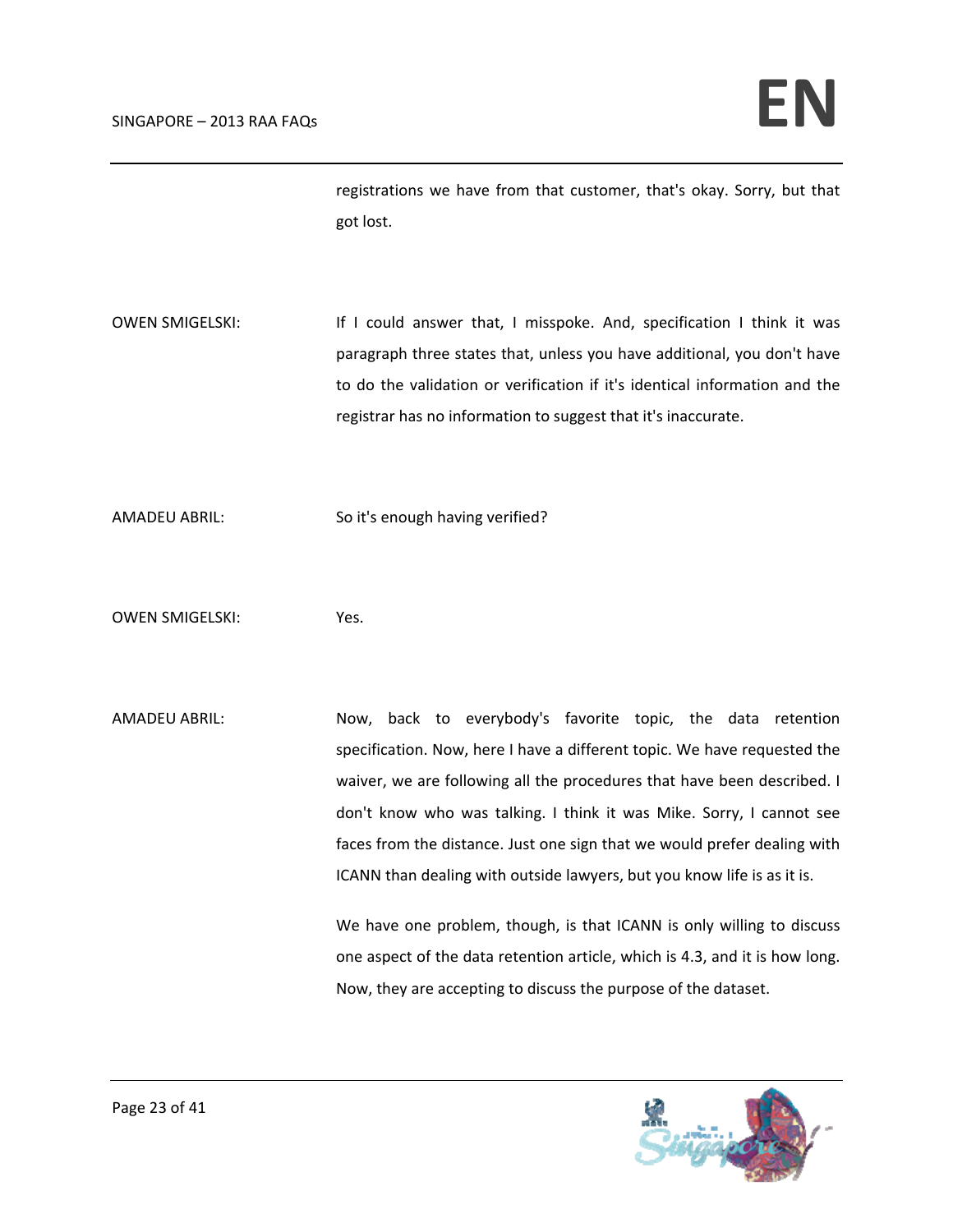registrations we have from that customer, that's okay. Sorry, but that got lost.

OWEN SMIGELSKI: If I could answer that, I misspoke. And, specification I think it was paragraph three states that, unless you have additional, you don't have to do the validation or verification if it's identical information and the registrar has no information to suggest that it's inaccurate.

AMADEU ABRIL: So it's enough having verified?

OWEN SMIGELSKI: Yes.

AMADEU ABRIL: Now, back to everybody's favorite topic, the data retention specification. Now, here I have a different topic. We have requested the waiver, we are following all the procedures that have been described. I don't know who was talking. I think it was Mike. Sorry, I cannot see faces from the distance. Just one sign that we would prefer dealing with ICANN than dealing with outside lawyers, but you know life is as it is.

> We have one problem, though, is that ICANN is only willing to discuss one aspect of the data retention article, which is 4.3, and it is how long. Now, they are accepting to discuss the purpose of the dataset.

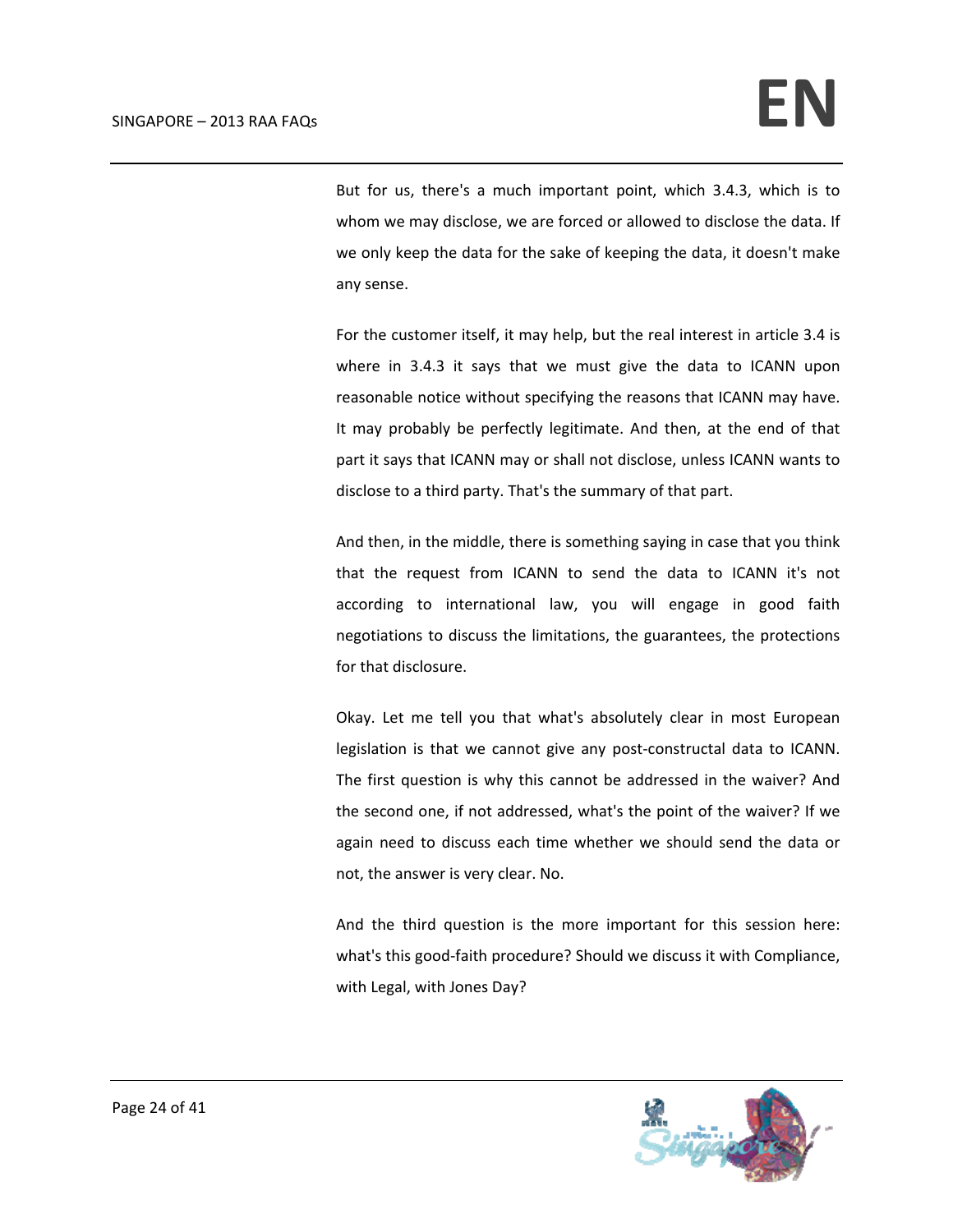But for us, there's a much important point, which 3.4.3, which is to whom we may disclose, we are forced or allowed to disclose the data. If we only keep the data for the sake of keeping the data, it doesn't make any sense.

For the customer itself, it may help, but the real interest in article 3.4 is where in 3.4.3 it says that we must give the data to ICANN upon reasonable notice without specifying the reasons that ICANN may have. It may probably be perfectly legitimate. And then, at the end of that part it says that ICANN may or shall not disclose, unless ICANN wants to disclose to a third party. That's the summary of that part.

And then, in the middle, there is something saying in case that you think that the request from ICANN to send the data to ICANN it's not according to international law, you will engage in good faith negotiations to discuss the limitations, the guarantees, the protections for that disclosure.

Okay. Let me tell you that what's absolutely clear in most European legislation is that we cannot give any post-constructal data to ICANN. The first question is why this cannot be addressed in the waiver? And the second one, if not addressed, what's the point of the waiver? If we again need to discuss each time whether we should send the data or not, the answer is very clear. No.

And the third question is the more important for this session here: what's this good‐faith procedure? Should we discuss it with Compliance, with Legal, with Jones Day?

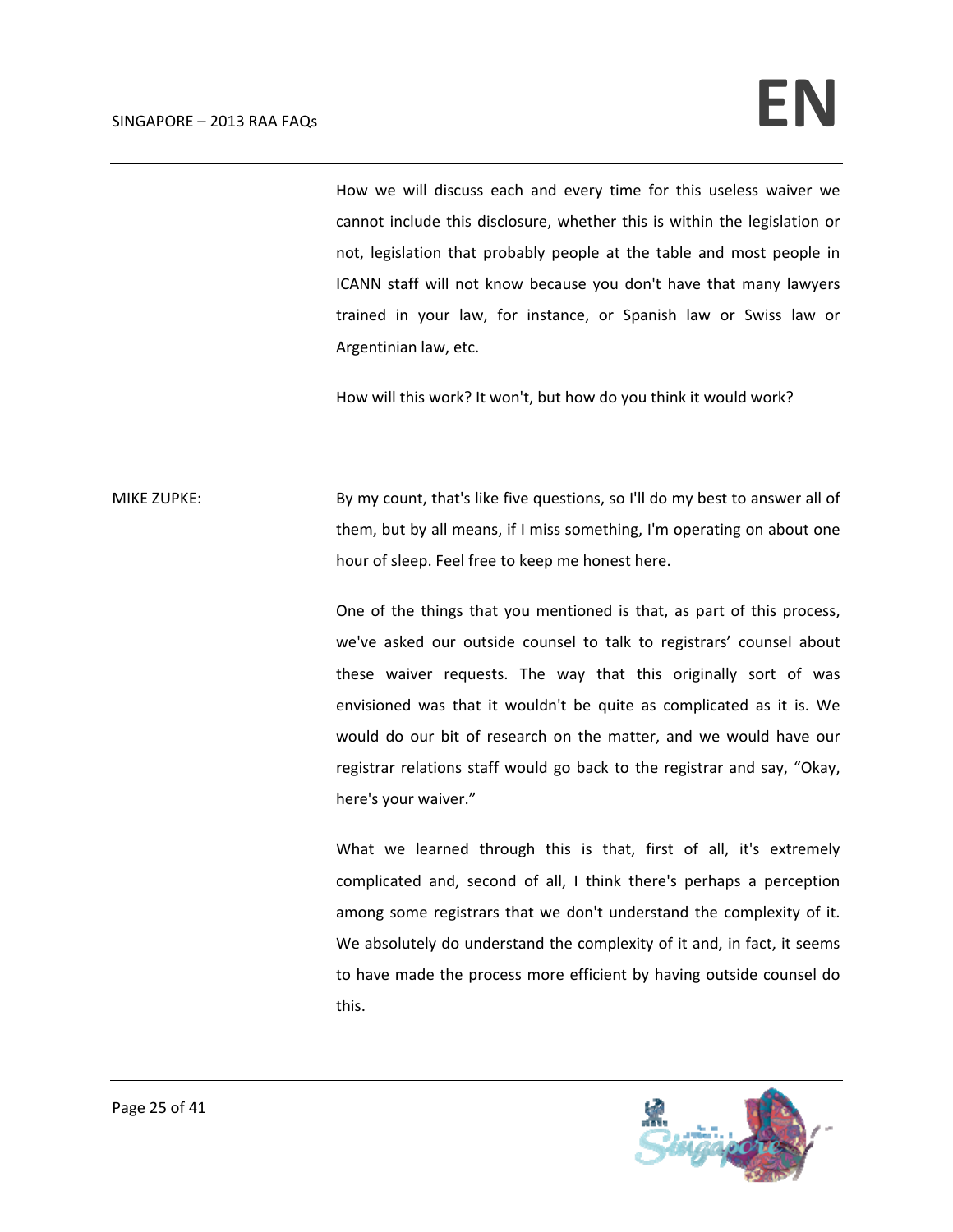How we will discuss each and every time for this useless waiver we cannot include this disclosure, whether this is within the legislation or not, legislation that probably people at the table and most people in ICANN staff will not know because you don't have that many lawyers trained in your law, for instance, or Spanish law or Swiss law or Argentinian law, etc.

How will this work? It won't, but how do you think it would work?

MIKE ZUPKE: By my count, that's like five questions, so I'll do my best to answer all of them, but by all means, if I miss something, I'm operating on about one hour of sleep. Feel free to keep me honest here.

> One of the things that you mentioned is that, as part of this process, we've asked our outside counsel to talk to registrars' counsel about these waiver requests. The way that this originally sort of was envisioned was that it wouldn't be quite as complicated as it is. We would do our bit of research on the matter, and we would have our registrar relations staff would go back to the registrar and say, "Okay, here's your waiver."

> What we learned through this is that, first of all, it's extremely complicated and, second of all, I think there's perhaps a perception among some registrars that we don't understand the complexity of it. We absolutely do understand the complexity of it and, in fact, it seems to have made the process more efficient by having outside counsel do this.

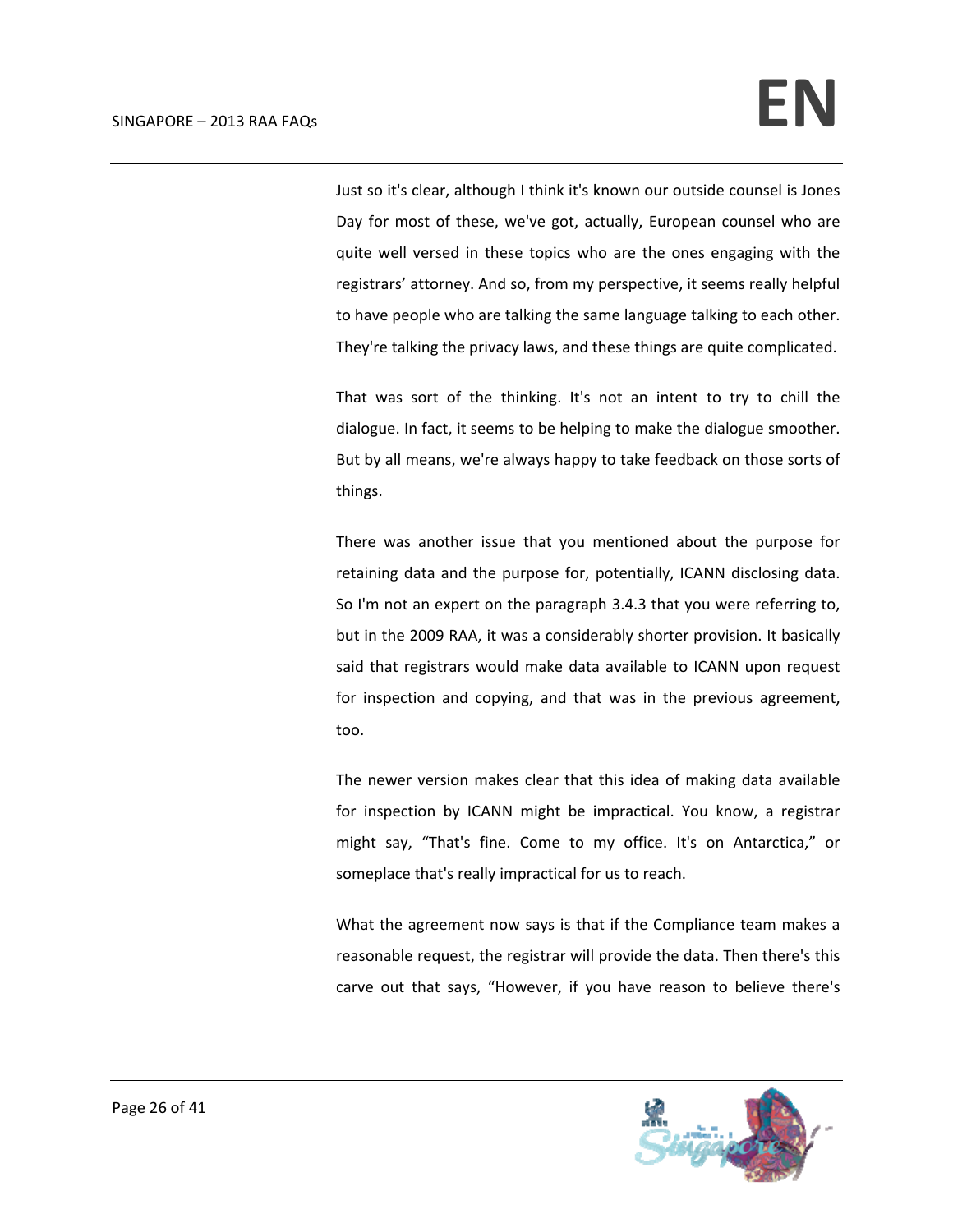Just so it's clear, although I think it's known our outside counsel is Jones Day for most of these, we've got, actually, European counsel who are quite well versed in these topics who are the ones engaging with the registrars' attorney. And so, from my perspective, it seems really helpful to have people who are talking the same language talking to each other. They're talking the privacy laws, and these things are quite complicated.

That was sort of the thinking. It's not an intent to try to chill the dialogue. In fact, it seems to be helping to make the dialogue smoother. But by all means, we're always happy to take feedback on those sorts of things.

There was another issue that you mentioned about the purpose for retaining data and the purpose for, potentially, ICANN disclosing data. So I'm not an expert on the paragraph 3.4.3 that you were referring to, but in the 2009 RAA, it was a considerably shorter provision. It basically said that registrars would make data available to ICANN upon request for inspection and copying, and that was in the previous agreement, too.

The newer version makes clear that this idea of making data available for inspection by ICANN might be impractical. You know, a registrar might say, "That's fine. Come to my office. It's on Antarctica," or someplace that's really impractical for us to reach.

What the agreement now says is that if the Compliance team makes a reasonable request, the registrar will provide the data. Then there's this carve out that says, "However, if you have reason to believe there's

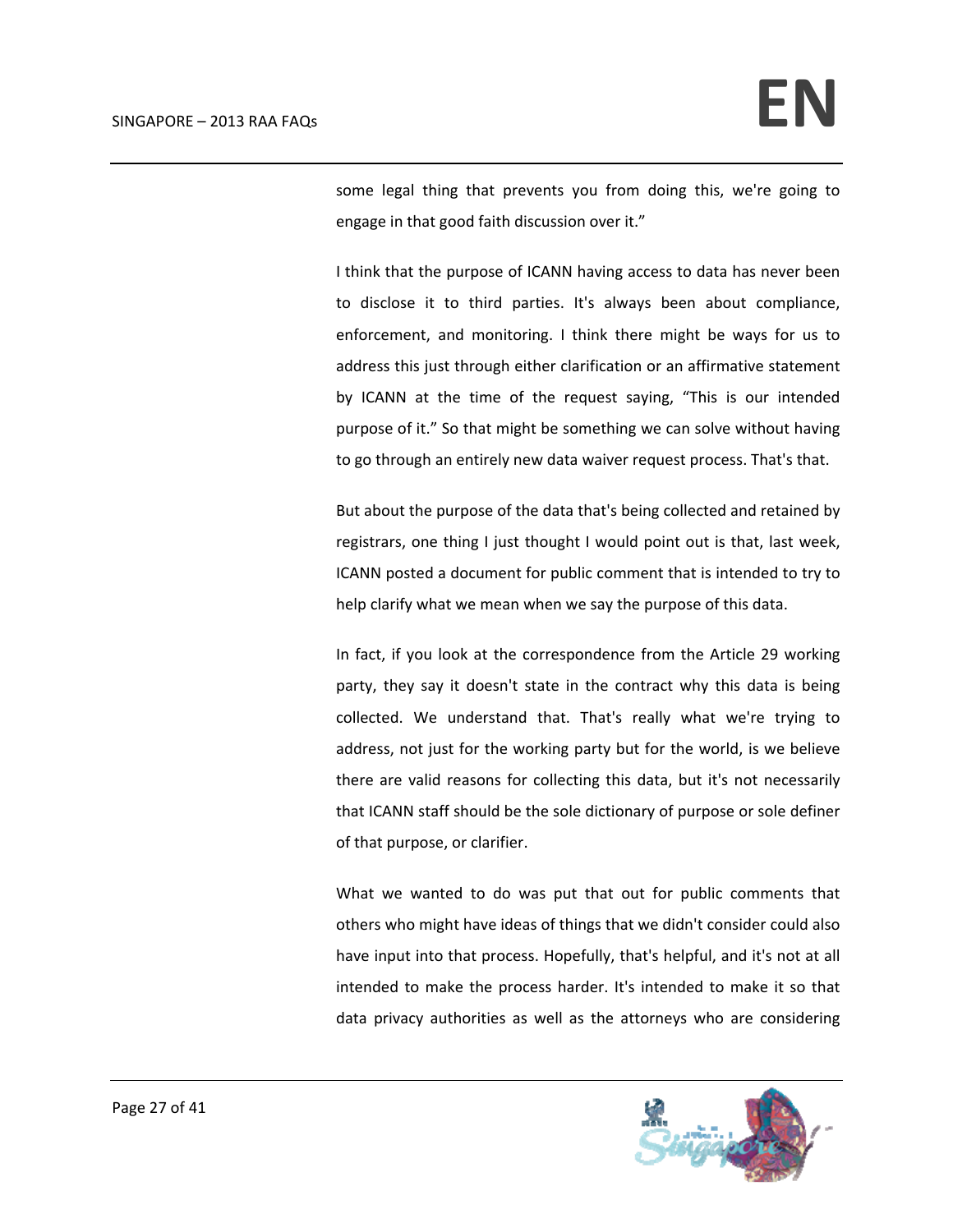some legal thing that prevents you from doing this, we're going to engage in that good faith discussion over it."

I think that the purpose of ICANN having access to data has never been to disclose it to third parties. It's always been about compliance, enforcement, and monitoring. I think there might be ways for us to address this just through either clarification or an affirmative statement by ICANN at the time of the request saying, "This is our intended purpose of it." So that might be something we can solve without having to go through an entirely new data waiver request process. That's that.

But about the purpose of the data that's being collected and retained by registrars, one thing I just thought I would point out is that, last week, ICANN posted a document for public comment that is intended to try to help clarify what we mean when we say the purpose of this data.

In fact, if you look at the correspondence from the Article 29 working party, they say it doesn't state in the contract why this data is being collected. We understand that. That's really what we're trying to address, not just for the working party but for the world, is we believe there are valid reasons for collecting this data, but it's not necessarily that ICANN staff should be the sole dictionary of purpose or sole definer of that purpose, or clarifier.

What we wanted to do was put that out for public comments that others who might have ideas of things that we didn't consider could also have input into that process. Hopefully, that's helpful, and it's not at all intended to make the process harder. It's intended to make it so that data privacy authorities as well as the attorneys who are considering

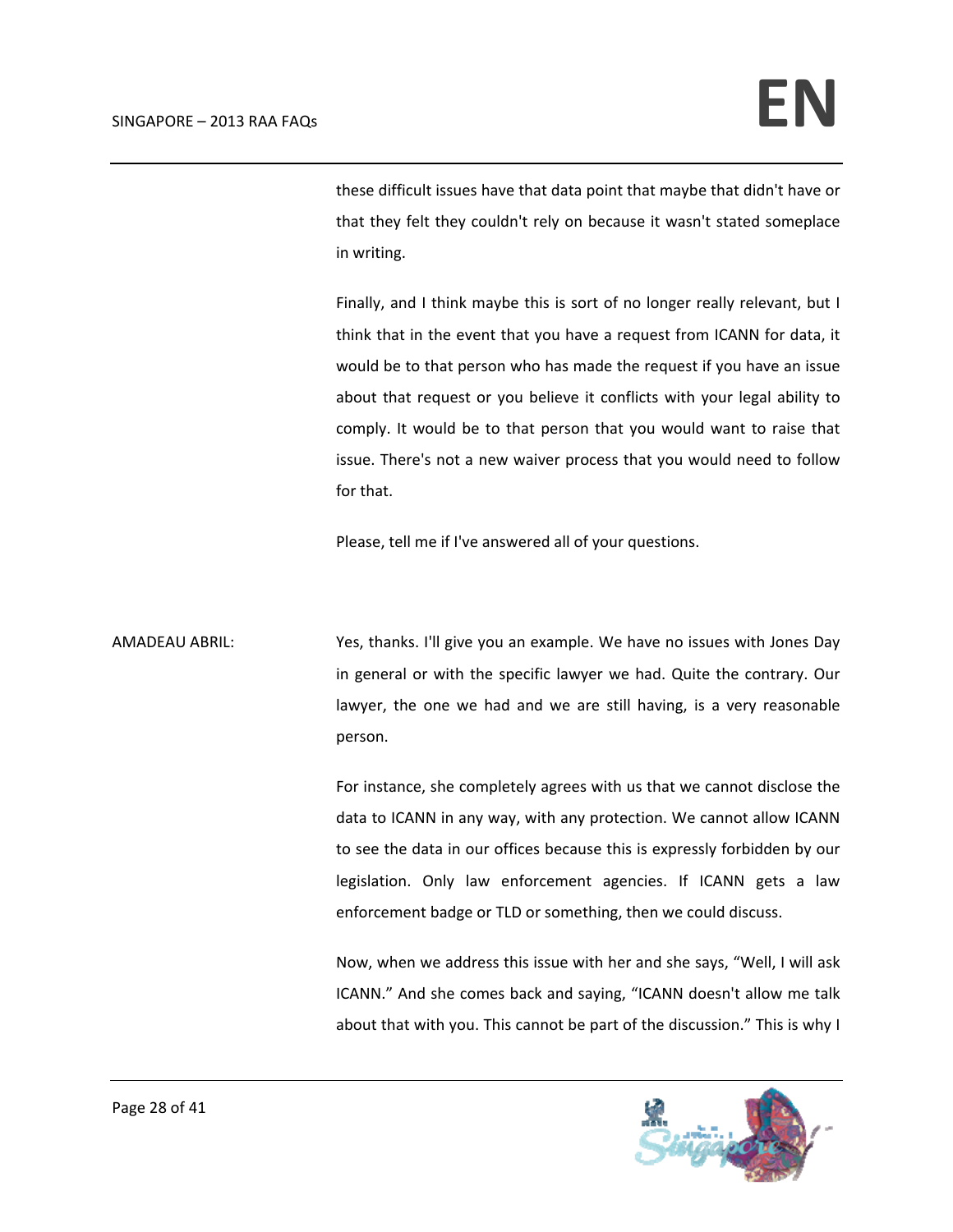these difficult issues have that data point that maybe that didn't have or that they felt they couldn't rely on because it wasn't stated someplace in writing.

Finally, and I think maybe this is sort of no longer really relevant, but I think that in the event that you have a request from ICANN for data, it would be to that person who has made the request if you have an issue about that request or you believe it conflicts with your legal ability to comply. It would be to that person that you would want to raise that issue. There's not a new waiver process that you would need to follow for that.

Please, tell me if I've answered all of your questions.

AMADEAU ABRIL: Yes, thanks. I'll give you an example. We have no issues with Jones Day in general or with the specific lawyer we had. Quite the contrary. Our lawyer, the one we had and we are still having, is a very reasonable person.

> For instance, she completely agrees with us that we cannot disclose the data to ICANN in any way, with any protection. We cannot allow ICANN to see the data in our offices because this is expressly forbidden by our legislation. Only law enforcement agencies. If ICANN gets a law enforcement badge or TLD or something, then we could discuss.

> Now, when we address this issue with her and she says, "Well, I will ask ICANN." And she comes back and saying, "ICANN doesn't allow me talk about that with you. This cannot be part of the discussion." This is why I

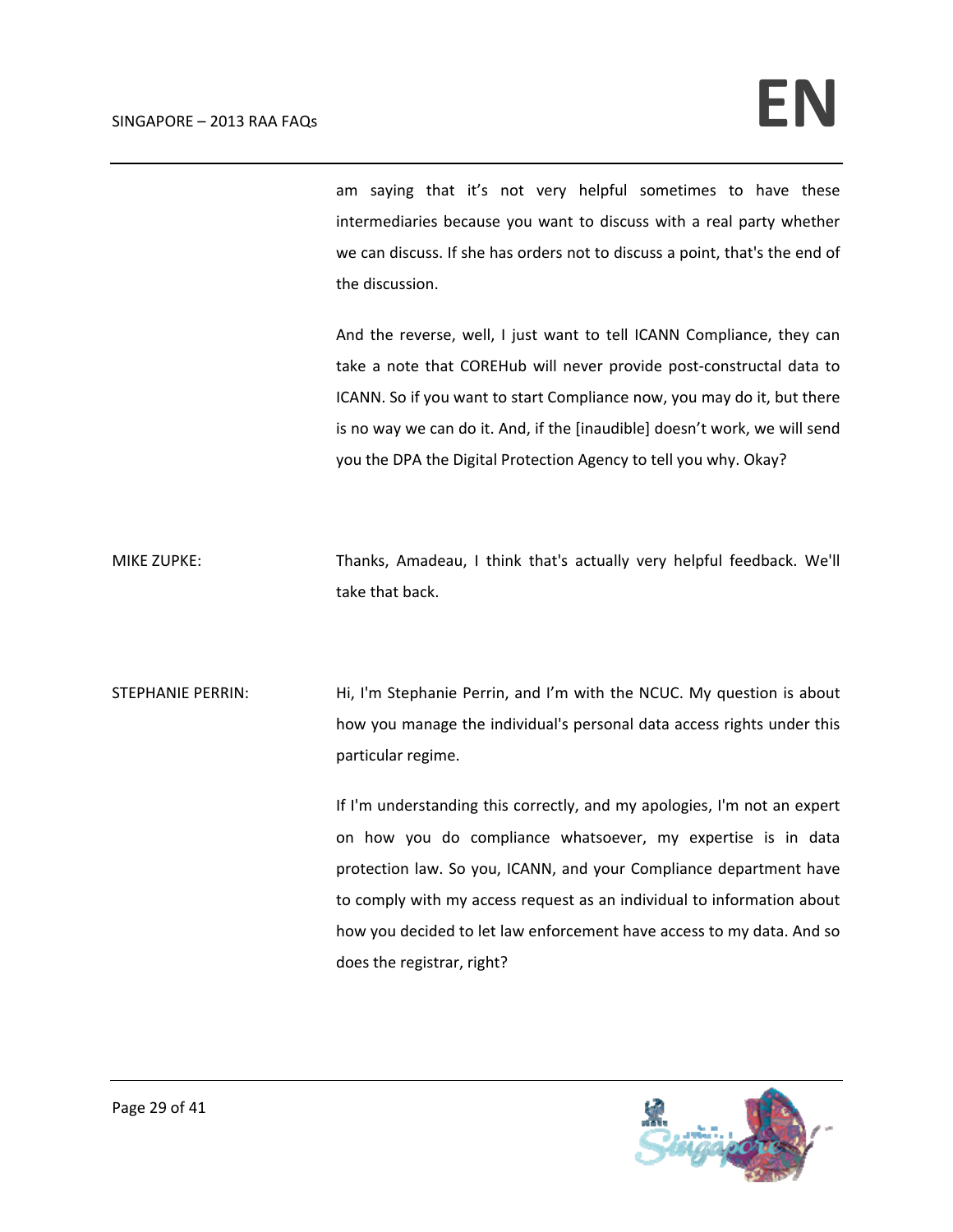am saying that it's not very helpful sometimes to have these intermediaries because you want to discuss with a real party whether we can discuss. If she has orders not to discuss a point, that's the end of the discussion.

And the reverse, well, I just want to tell ICANN Compliance, they can take a note that COREHub will never provide post-constructal data to ICANN. So if you want to start Compliance now, you may do it, but there is no way we can do it. And, if the [inaudible] doesn't work, we will send you the DPA the Digital Protection Agency to tell you why. Okay?

MIKE ZUPKE: Thanks, Amadeau, I think that's actually very helpful feedback. We'll take that back.

STEPHANIE PERRIN: Hi, I'm Stephanie Perrin, and I'm with the NCUC. My question is about how you manage the individual's personal data access rights under this particular regime.

> If I'm understanding this correctly, and my apologies, I'm not an expert on how you do compliance whatsoever, my expertise is in data protection law. So you, ICANN, and your Compliance department have to comply with my access request as an individual to information about how you decided to let law enforcement have access to my data. And so does the registrar, right?

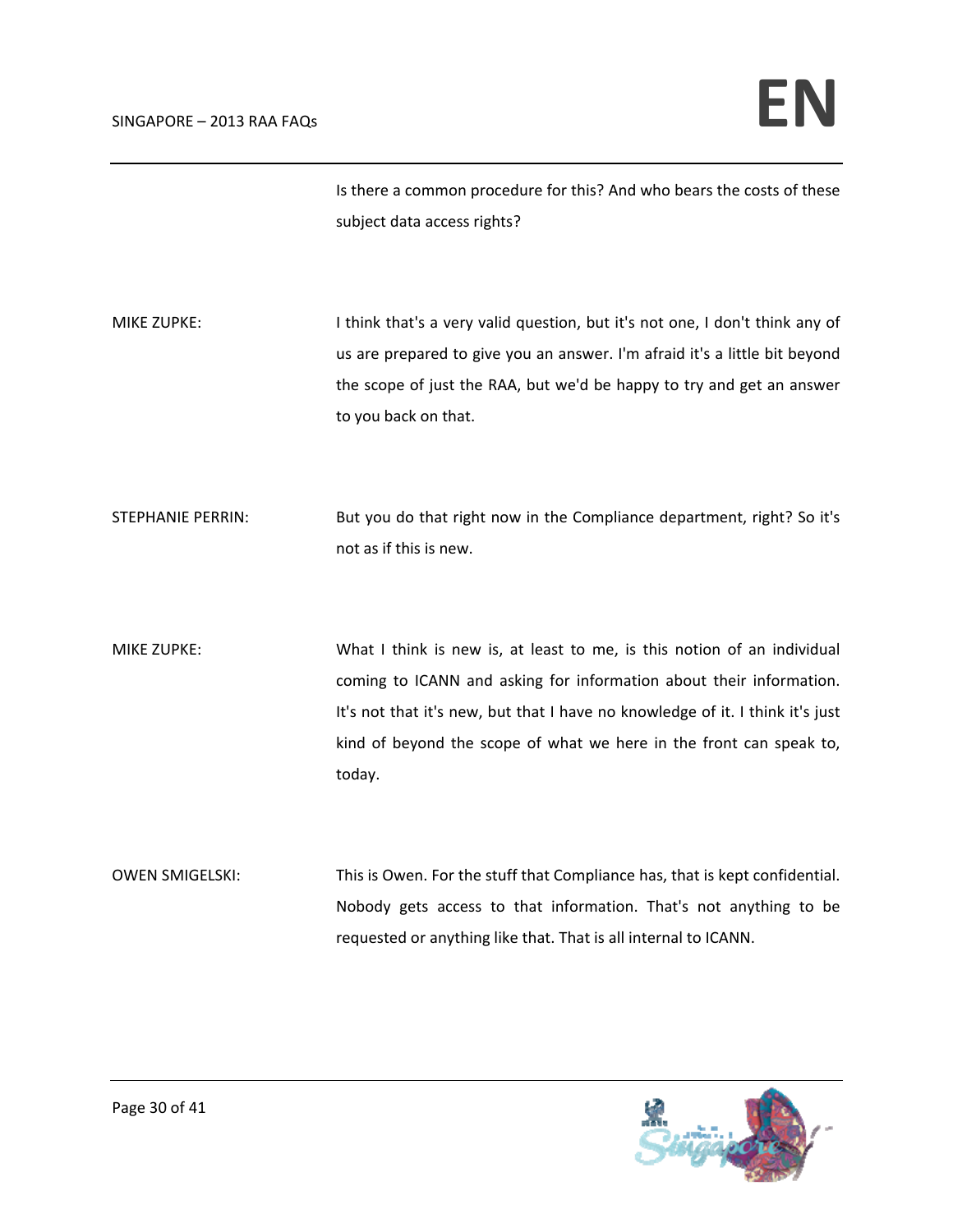Is there a common procedure for this? And who bears the costs of these subject data access rights?

MIKE ZUPKE: I say think that's a very valid question, but it's not one, I don't think any of us are prepared to give you an answer. I'm afraid it's a little bit beyond the scope of just the RAA, but we'd be happy to try and get an answer to you back on that.

STEPHANIE PERRIN: But you do that right now in the Compliance department, right? So it's not as if this is new.

MIKE ZUPKE: What I think is new is, at least to me, is this notion of an individual coming to ICANN and asking for information about their information. It's not that it's new, but that I have no knowledge of it. I think it's just kind of beyond the scope of what we here in the front can speak to, today.

OWEN SMIGELSKI: This is Owen. For the stuff that Compliance has, that is kept confidential. Nobody gets access to that information. That's not anything to be requested or anything like that. That is all internal to ICANN.

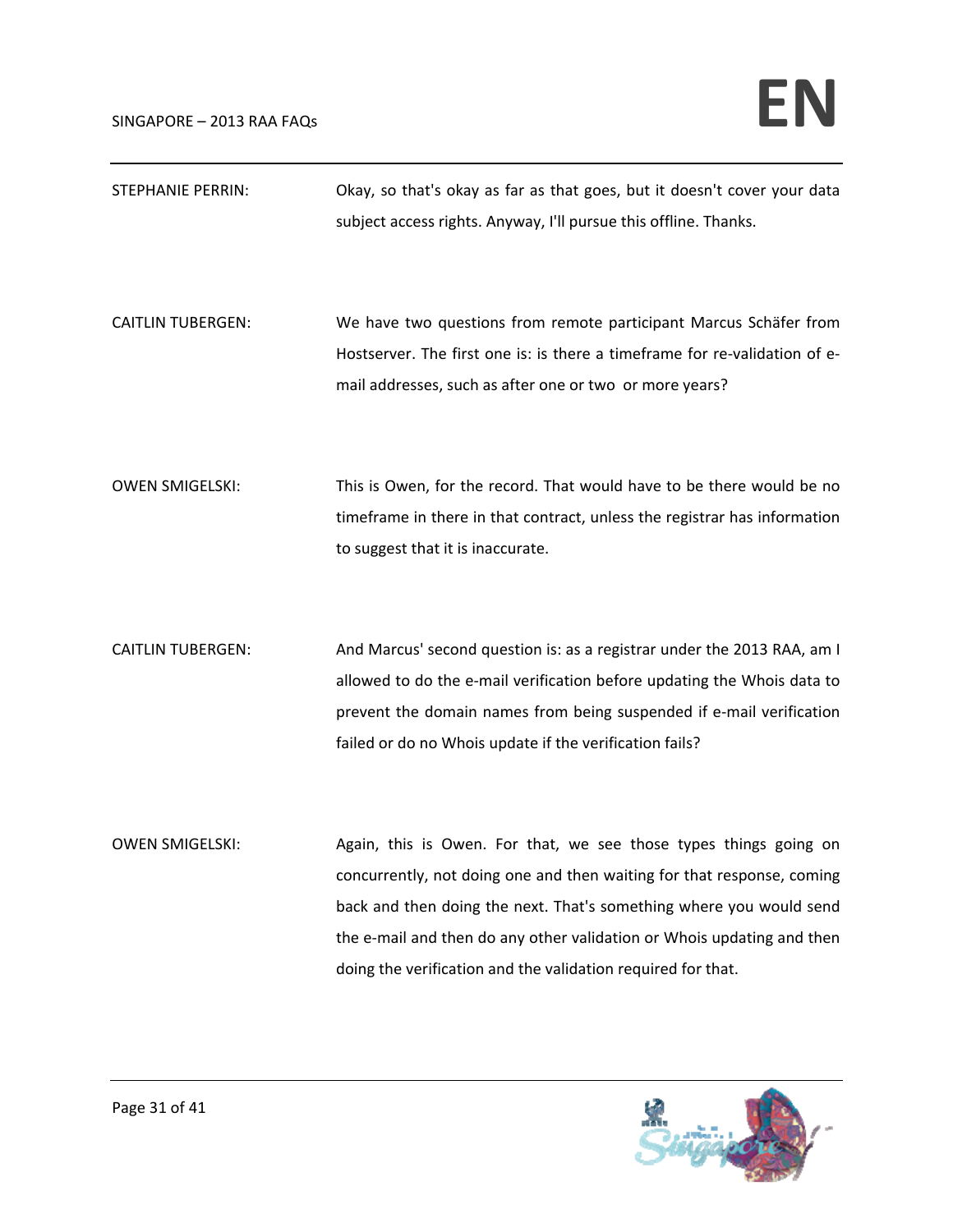| <b>STEPHANIE PERRIN:</b> | Okay, so that's okay as far as that goes, but it doesn't cover your data<br>subject access rights. Anyway, I'll pursue this offline. Thanks.                                                                                                                                                                                                                 |
|--------------------------|--------------------------------------------------------------------------------------------------------------------------------------------------------------------------------------------------------------------------------------------------------------------------------------------------------------------------------------------------------------|
| <b>CAITLIN TUBERGEN:</b> | We have two questions from remote participant Marcus Schäfer from<br>Hostserver. The first one is: is there a timeframe for re-validation of e-<br>mail addresses, such as after one or two or more years?                                                                                                                                                   |
| <b>OWEN SMIGELSKI:</b>   | This is Owen, for the record. That would have to be there would be no<br>timeframe in there in that contract, unless the registrar has information<br>to suggest that it is inaccurate.                                                                                                                                                                      |
| <b>CAITLIN TUBERGEN:</b> | And Marcus' second question is: as a registrar under the 2013 RAA, am I<br>allowed to do the e-mail verification before updating the Whois data to<br>prevent the domain names from being suspended if e-mail verification<br>failed or do no Whois update if the verification fails?                                                                        |
| <b>OWEN SMIGELSKI:</b>   | Again, this is Owen. For that, we see those types things going on<br>concurrently, not doing one and then waiting for that response, coming<br>back and then doing the next. That's something where you would send<br>the e-mail and then do any other validation or Whois updating and then<br>doing the verification and the validation required for that. |

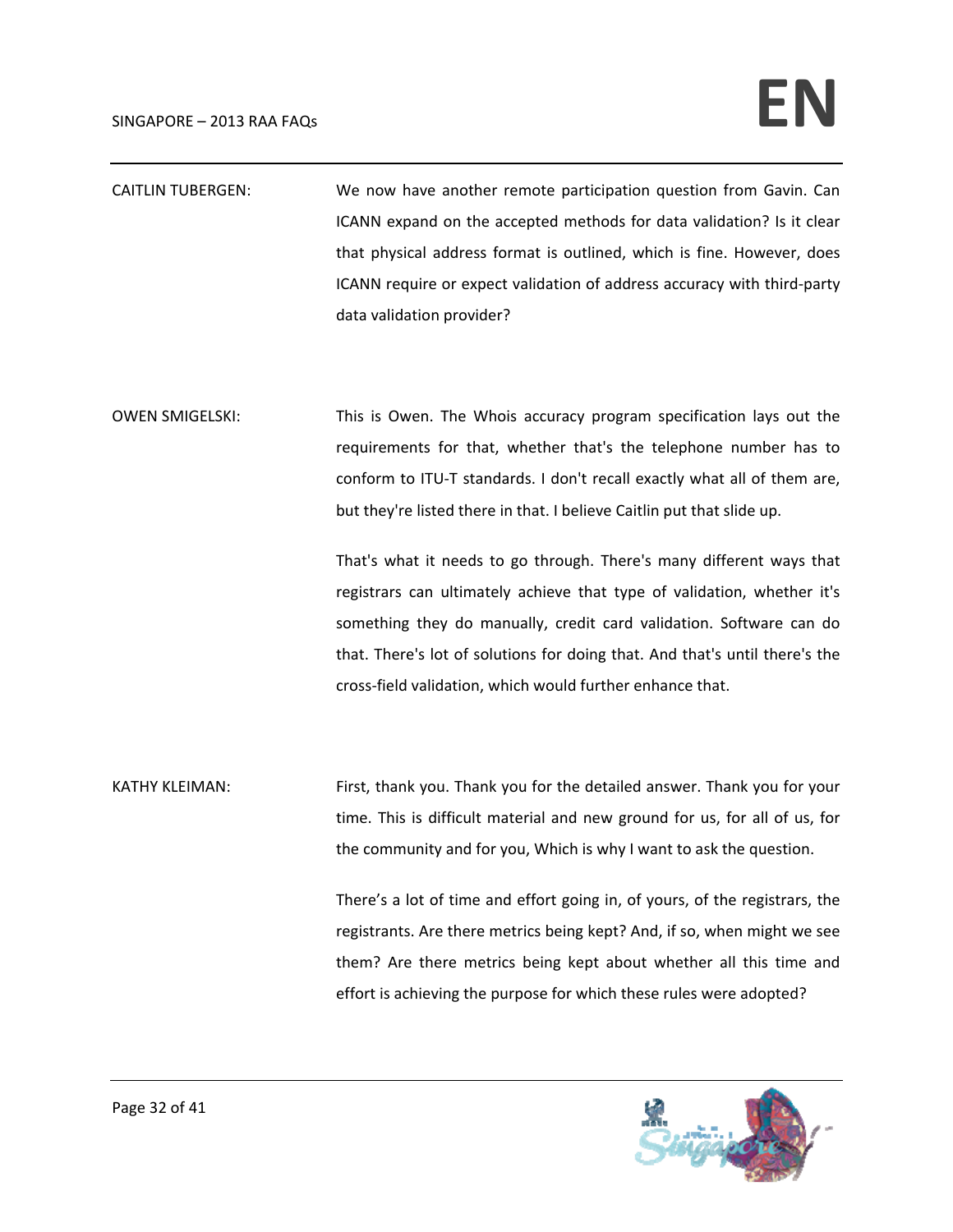## $SINGAPORE - 2013 RA F AQS$

- CAITLIN TUBERGEN: We now have another remote participation question from Gavin. Can ICANN expand on the accepted methods for data validation? Is it clear that physical address format is outlined, which is fine. However, does ICANN require or expect validation of address accuracy with third‐party data validation provider?
- OWEN SMIGELSKI: This is Owen. The Whois accuracy program specification lays out the requirements for that, whether that's the telephone number has to conform to ITU‐T standards. I don't recall exactly what all of them are, but they're listed there in that. I believe Caitlin put that slide up.

That's what it needs to go through. There's many different ways that registrars can ultimately achieve that type of validation, whether it's something they do manually, credit card validation. Software can do that. There's lot of solutions for doing that. And that's until there's the cross‐field validation, which would further enhance that.

KATHY KLEIMAN: First, thank you. Thank you for the detailed answer. Thank you for your time. This is difficult material and new ground for us, for all of us, for the community and for you, Which is why I want to ask the question.

> There's a lot of time and effort going in, of yours, of the registrars, the registrants. Are there metrics being kept? And, if so, when might we see them? Are there metrics being kept about whether all this time and effort is achieving the purpose for which these rules were adopted?

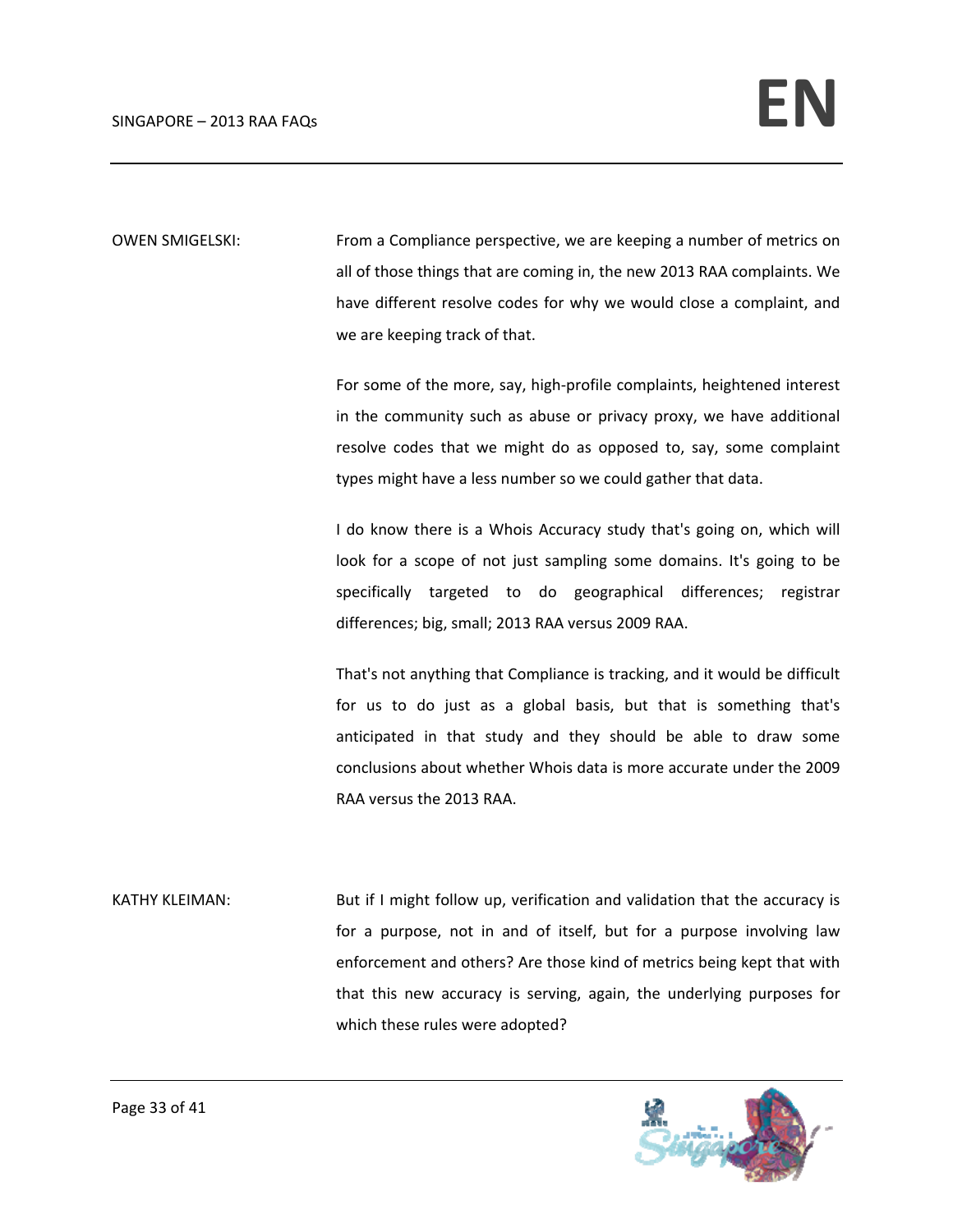OWEN SMIGELSKI: From a Compliance perspective, we are keeping a number of metrics on all of those things that are coming in, the new 2013 RAA complaints. We have different resolve codes for why we would close a complaint, and we are keeping track of that.

> For some of the more, say, high‐profile complaints, heightened interest in the community such as abuse or privacy proxy, we have additional resolve codes that we might do as opposed to, say, some complaint types might have a less number so we could gather that data.

> I do know there is a Whois Accuracy study that's going on, which will look for a scope of not just sampling some domains. It's going to be specifically targeted to do geographical differences; registrar differences; big, small; 2013 RAA versus 2009 RAA.

> That's not anything that Compliance is tracking, and it would be difficult for us to do just as a global basis, but that is something that's anticipated in that study and they should be able to draw some conclusions about whether Whois data is more accurate under the 2009 RAA versus the 2013 RAA.

KATHY KLEIMAN: But if I might follow up, verification and validation that the accuracy is for a purpose, not in and of itself, but for a purpose involving law enforcement and others? Are those kind of metrics being kept that with that this new accuracy is serving, again, the underlying purposes for which these rules were adopted?

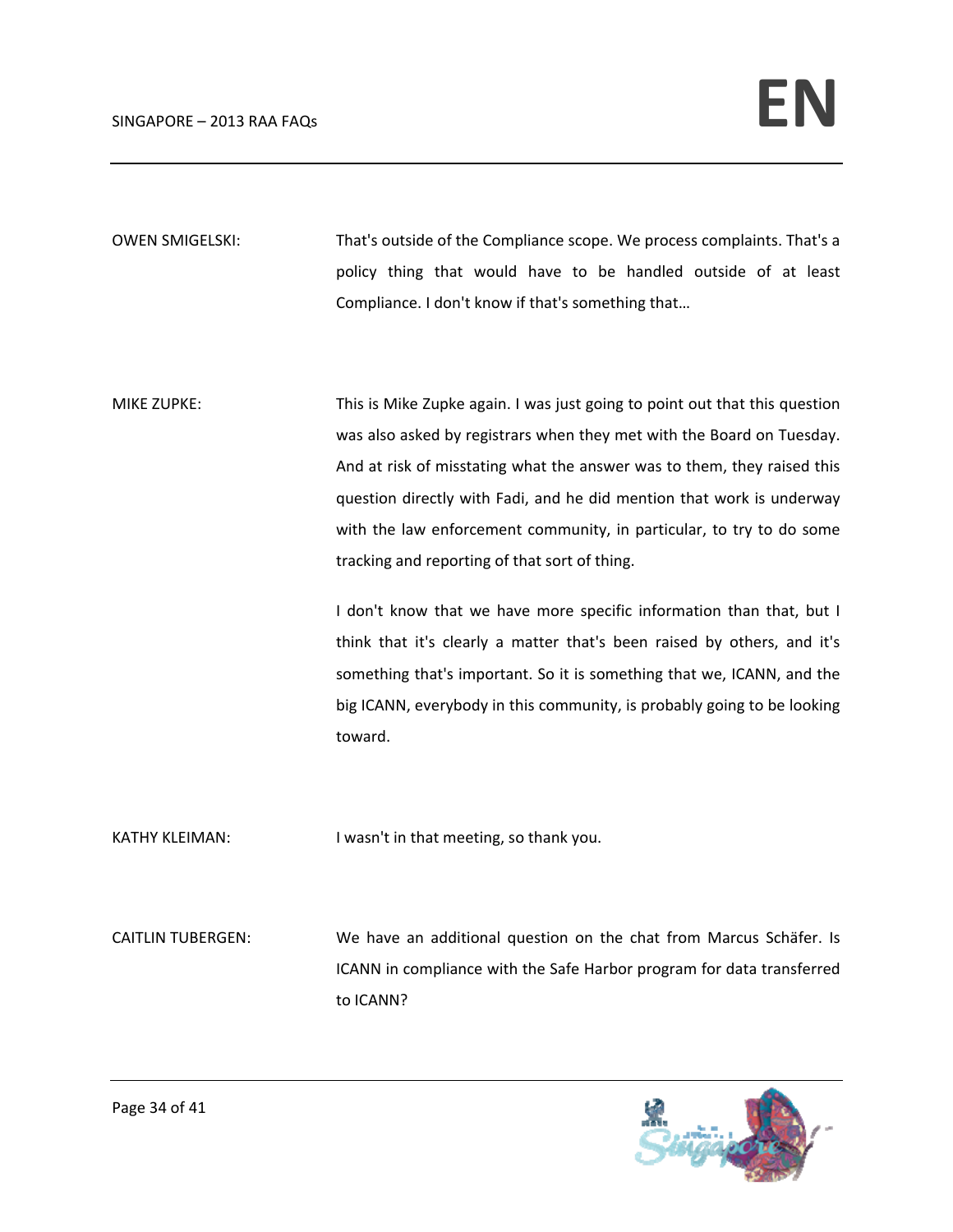OWEN SMIGELSKI: That's outside of the Compliance scope. We process complaints. That's a policy thing that would have to be handled outside of at least Compliance. I don't know if that's something that…

MIKE ZUPKE: This is Mike Zupke again. I was just going to point out that this question was also asked by registrars when they met with the Board on Tuesday. And at risk of misstating what the answer was to them, they raised this question directly with Fadi, and he did mention that work is underway with the law enforcement community, in particular, to try to do some tracking and reporting of that sort of thing.

> I don't know that we have more specific information than that, but I think that it's clearly a matter that's been raised by others, and it's something that's important. So it is something that we, ICANN, and the big ICANN, everybody in this community, is probably going to be looking toward.

KATHY KLEIMAN: I wasn't in that meeting, so thank you.

CAITLIN TUBERGEN: We have an additional question on the chat from Marcus Schäfer. Is ICANN in compliance with the Safe Harbor program for data transferred to ICANN?

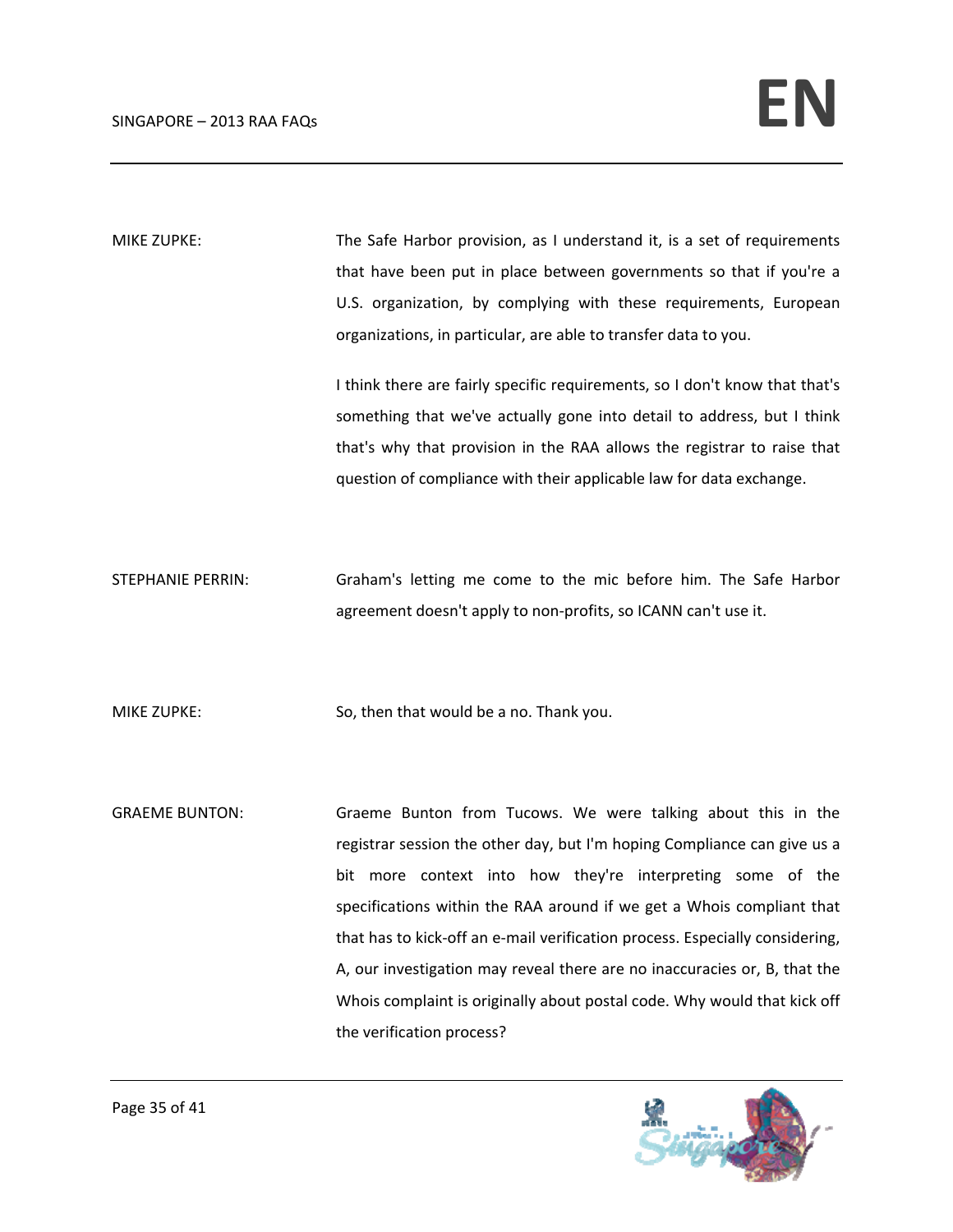MIKE ZUPKE: The Safe Harbor provision, as I understand it, is a set of requirements that have been put in place between governments so that if you're a U.S. organization, by complying with these requirements, European organizations, in particular, are able to transfer data to you.

> I think there are fairly specific requirements, so I don't know that that's something that we've actually gone into detail to address, but I think that's why that provision in the RAA allows the registrar to raise that question of compliance with their applicable law for data exchange.

STEPHANIE PERRIN: Graham's letting me come to the mic before him. The Safe Harbor agreement doesn't apply to non‐profits, so ICANN can't use it.

MIKE ZUPKE: So, then that would be a no. Thank you.

GRAEME BUNTON: Graeme Bunton from Tucows. We were talking about this in the registrar session the other day, but I'm hoping Compliance can give us a bit more context into how they're interpreting some of the specifications within the RAA around if we get a Whois compliant that that has to kick‐off an e‐mail verification process. Especially considering, A, our investigation may reveal there are no inaccuracies or, B, that the Whois complaint is originally about postal code. Why would that kick off the verification process?

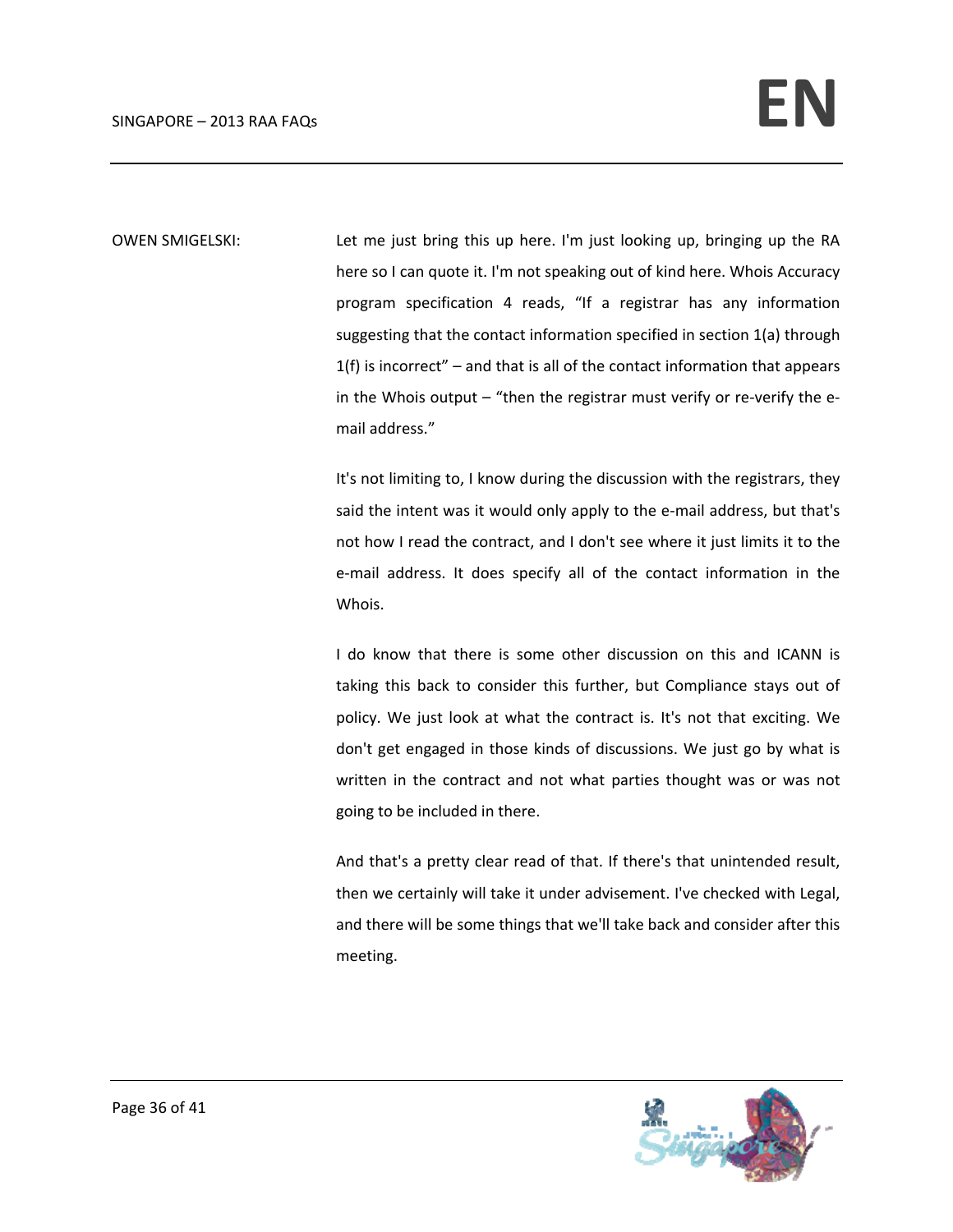OWEN SMIGELSKI: Let me just bring this up here. I'm just looking up, bringing up the RA here so I can quote it. I'm not speaking out of kind here. Whois Accuracy program specification 4 reads, "If a registrar has any information suggesting that the contact information specified in section 1(a) through  $1(f)$  is incorrect" – and that is all of the contact information that appears in the Whois output – "then the registrar must verify or re-verify the email address."

> It's not limiting to, I know during the discussion with the registrars, they said the intent was it would only apply to the e-mail address, but that's not how I read the contract, and I don't see where it just limits it to the e-mail address. It does specify all of the contact information in the Whois.

> I do know that there is some other discussion on this and ICANN is taking this back to consider this further, but Compliance stays out of policy. We just look at what the contract is. It's not that exciting. We don't get engaged in those kinds of discussions. We just go by what is written in the contract and not what parties thought was or was not going to be included in there.

> And that's a pretty clear read of that. If there's that unintended result, then we certainly will take it under advisement. I've checked with Legal, and there will be some things that we'll take back and consider after this meeting.

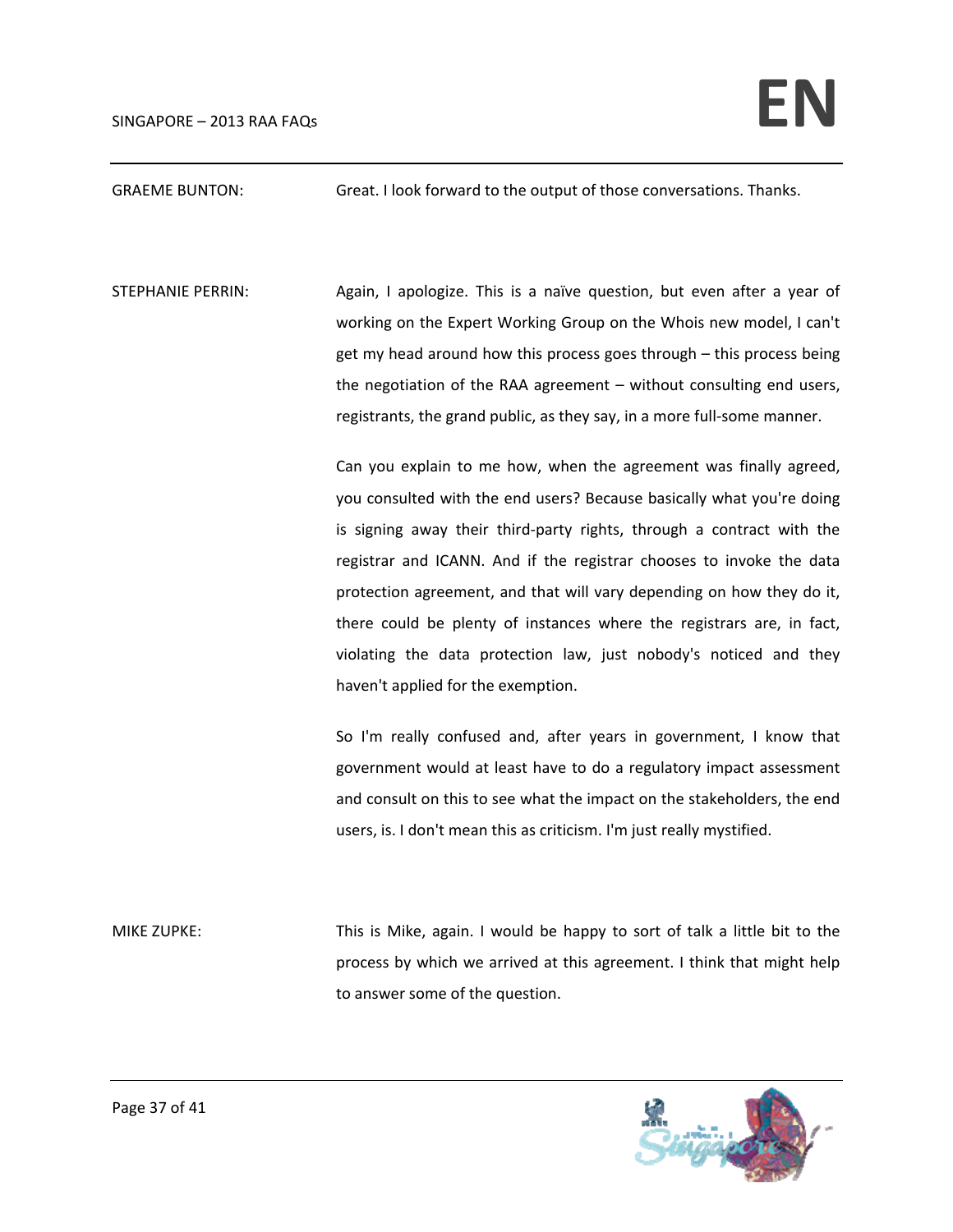## GRAEME BUNTON: Great. I look forward to the output of those conversations. Thanks.

STEPHANIE PERRIN: Again, I apologize. This is a naïve question, but even after a year of working on the Expert Working Group on the Whois new model, I can't get my head around how this process goes through – this process being the negotiation of the RAA agreement – without consulting end users, registrants, the grand public, as they say, in a more full‐some manner.

> Can you explain to me how, when the agreement was finally agreed, you consulted with the end users? Because basically what you're doing is signing away their third-party rights, through a contract with the registrar and ICANN. And if the registrar chooses to invoke the data protection agreement, and that will vary depending on how they do it, there could be plenty of instances where the registrars are, in fact, violating the data protection law, just nobody's noticed and they haven't applied for the exemption.

> So I'm really confused and, after years in government, I know that government would at least have to do a regulatory impact assessment and consult on this to see what the impact on the stakeholders, the end users, is. I don't mean this as criticism. I'm just really mystified.

MIKE ZUPKE: This is Mike, again. I would be happy to sort of talk a little bit to the process by which we arrived at this agreement. I think that might help to answer some of the question.

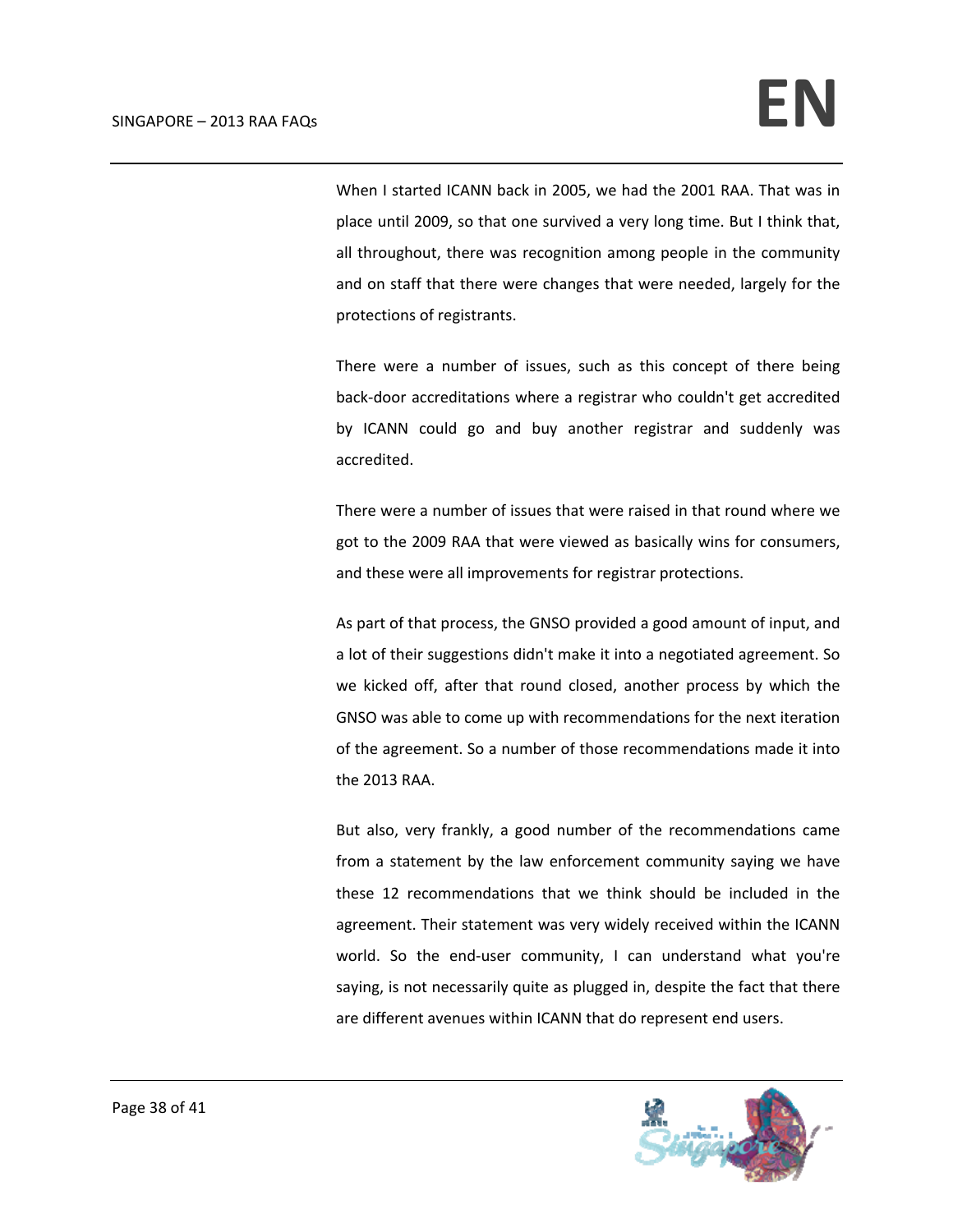When I started ICANN back in 2005, we had the 2001 RAA. That was in place until 2009, so that one survived a very long time. But I think that, all throughout, there was recognition among people in the community and on staff that there were changes that were needed, largely for the protections of registrants.

There were a number of issues, such as this concept of there being back‐door accreditations where a registrar who couldn't get accredited by ICANN could go and buy another registrar and suddenly was accredited.

There were a number of issues that were raised in that round where we got to the 2009 RAA that were viewed as basically wins for consumers, and these were all improvements for registrar protections.

As part of that process, the GNSO provided a good amount of input, and a lot of their suggestions didn't make it into a negotiated agreement. So we kicked off, after that round closed, another process by which the GNSO was able to come up with recommendations for the next iteration of the agreement. So a number of those recommendations made it into the 2013 RAA.

But also, very frankly, a good number of the recommendations came from a statement by the law enforcement community saying we have these 12 recommendations that we think should be included in the agreement. Their statement was very widely received within the ICANN world. So the end-user community, I can understand what you're saying, is not necessarily quite as plugged in, despite the fact that there are different avenues within ICANN that do represent end users.

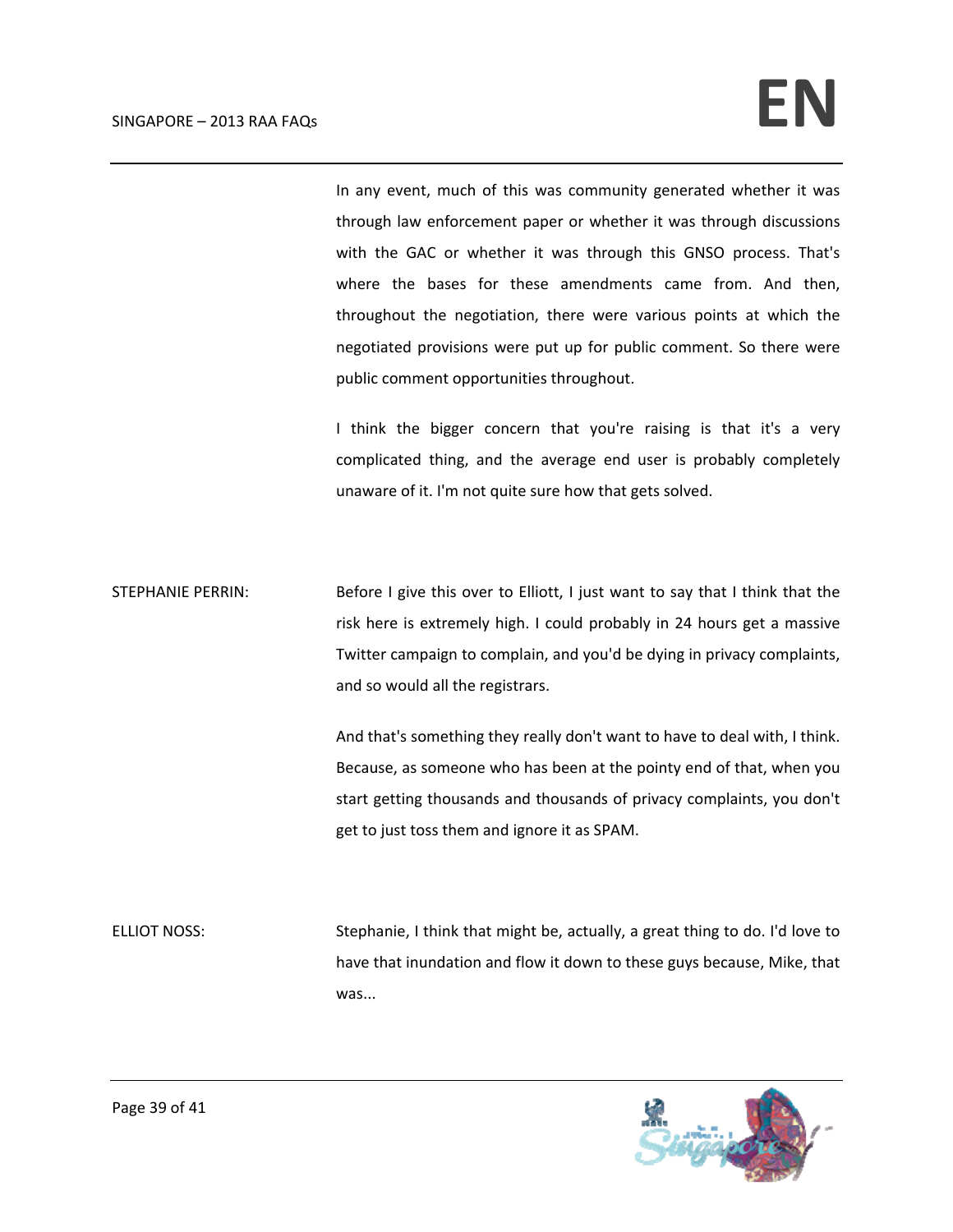In any event, much of this was community generated whether it was through law enforcement paper or whether it was through discussions with the GAC or whether it was through this GNSO process. That's where the bases for these amendments came from. And then, throughout the negotiation, there were various points at which the negotiated provisions were put up for public comment. So there were public comment opportunities throughout.

I think the bigger concern that you're raising is that it's a very complicated thing, and the average end user is probably completely unaware of it. I'm not quite sure how that gets solved.

STEPHANIE PERRIN: Before I give this over to Elliott, I just want to say that I think that the risk here is extremely high. I could probably in 24 hours get a massive Twitter campaign to complain, and you'd be dying in privacy complaints, and so would all the registrars.

> And that's something they really don't want to have to deal with, I think. Because, as someone who has been at the pointy end of that, when you start getting thousands and thousands of privacy complaints, you don't get to just toss them and ignore it as SPAM.

ELLIOT NOSS: Stephanie, I think that might be, actually, a great thing to do. I'd love to have that inundation and flow it down to these guys because, Mike, that was...

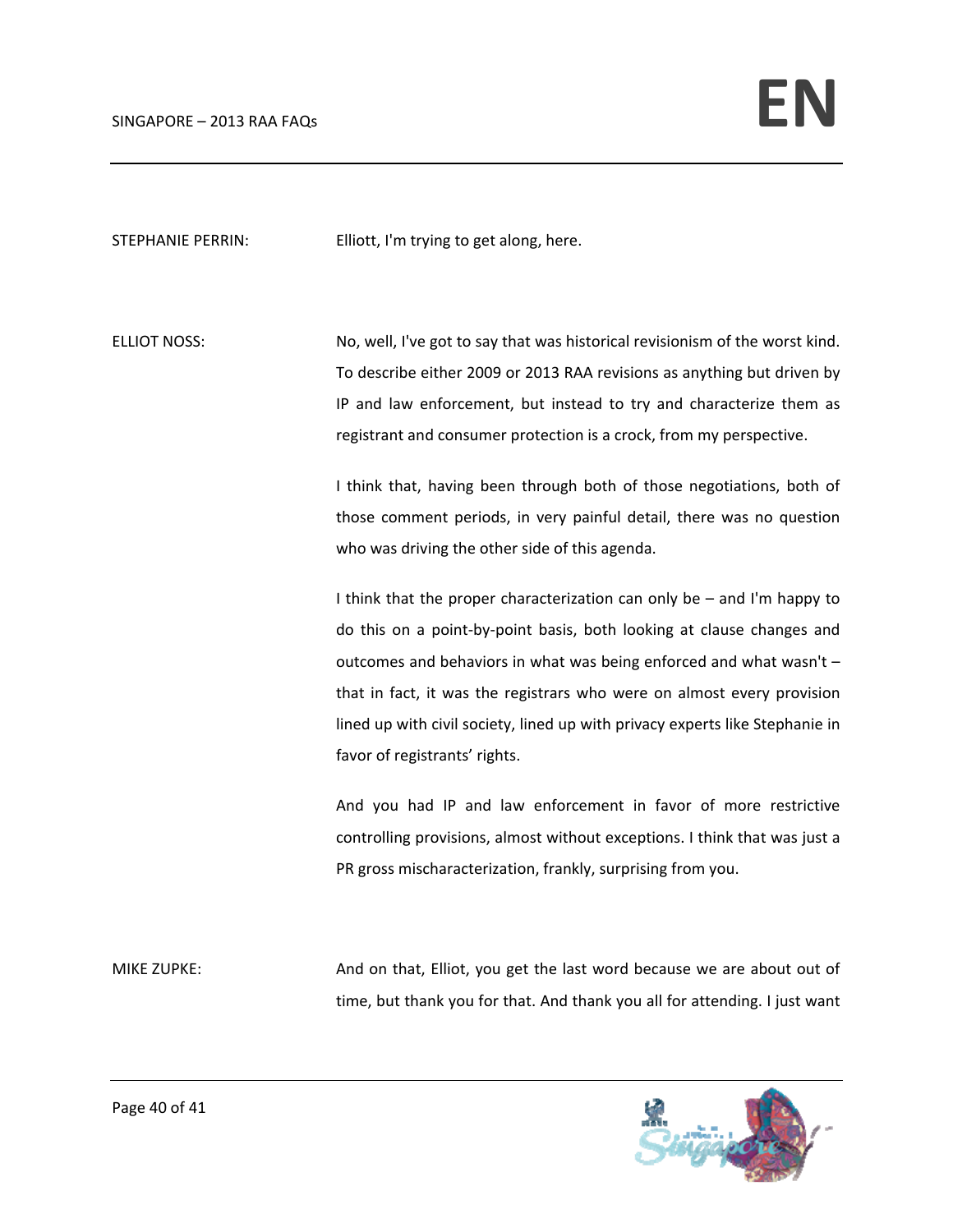STEPHANIE PERRIN: Elliott, I'm trying to get along, here.

ELLIOT NOSS: No, well, I've got to say that was historical revisionism of the worst kind. To describe either 2009 or 2013 RAA revisions as anything but driven by IP and law enforcement, but instead to try and characterize them as registrant and consumer protection is a crock, from my perspective.

> I think that, having been through both of those negotiations, both of those comment periods, in very painful detail, there was no question who was driving the other side of this agenda.

> I think that the proper characterization can only be – and I'm happy to do this on a point‐by‐point basis, both looking at clause changes and outcomes and behaviors in what was being enforced and what wasn't – that in fact, it was the registrars who were on almost every provision lined up with civil society, lined up with privacy experts like Stephanie in favor of registrants' rights.

> And you had IP and law enforcement in favor of more restrictive controlling provisions, almost without exceptions. I think that was just a PR gross mischaracterization, frankly, surprising from you.

MIKE ZUPKE: And on that, Elliot, you get the last word because we are about out of time, but thank you for that. And thank you all for attending. I just want